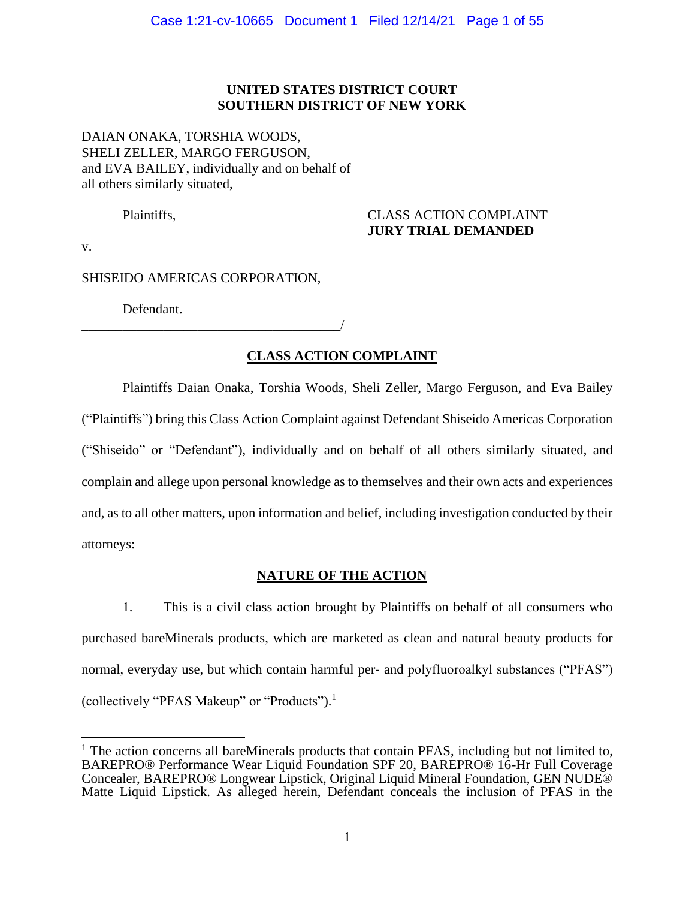### **UNITED STATES DISTRICT COURT SOUTHERN DISTRICT OF NEW YORK**

### DAIAN ONAKA, TORSHIA WOODS, SHELI ZELLER, MARGO FERGUSON, and EVA BAILEY, individually and on behalf of all others similarly situated,

### Plaintiffs, CLASS ACTION COMPLAINT **JURY TRIAL DEMANDED**

v.

SHISEIDO AMERICAS CORPORATION,

Defendant.

\_\_\_\_\_\_\_\_\_\_\_\_\_\_\_\_\_\_\_\_\_\_\_\_\_\_\_\_\_\_\_\_\_\_\_\_\_\_/

## **CLASS ACTION COMPLAINT**

Plaintiffs Daian Onaka, Torshia Woods, Sheli Zeller, Margo Ferguson, and Eva Bailey ("Plaintiffs") bring this Class Action Complaint against Defendant Shiseido Americas Corporation ("Shiseido" or "Defendant"), individually and on behalf of all others similarly situated, and complain and allege upon personal knowledge as to themselves and their own acts and experiences and, as to all other matters, upon information and belief, including investigation conducted by their attorneys:

### **NATURE OF THE ACTION**

1. This is a civil class action brought by Plaintiffs on behalf of all consumers who purchased bareMinerals products, which are marketed as clean and natural beauty products for normal, everyday use, but which contain harmful per- and polyfluoroalkyl substances ("PFAS") (collectively "PFAS Makeup" or "Products"). 1

 $1$  The action concerns all bareMinerals products that contain PFAS, including but not limited to, BAREPRO® Performance Wear Liquid Foundation SPF 20, BAREPRO® 16-Hr Full Coverage Concealer, BAREPRO® Longwear Lipstick, Original Liquid Mineral Foundation, GEN NUDE® Matte Liquid Lipstick. As alleged herein, Defendant conceals the inclusion of PFAS in the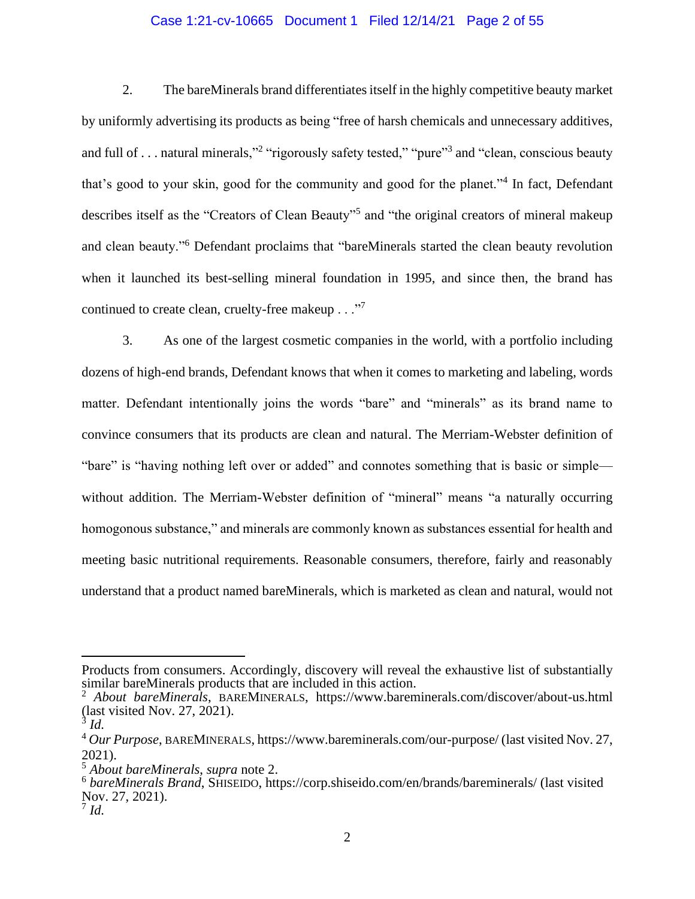### Case 1:21-cv-10665 Document 1 Filed 12/14/21 Page 2 of 55

2. The bareMinerals brand differentiates itself in the highly competitive beauty market by uniformly advertising its products as being "free of harsh chemicals and unnecessary additives, and full of . . . natural minerals,"<sup>2</sup> "rigorously safety tested," "pure"<sup>3</sup> and "clean, conscious beauty that's good to your skin, good for the community and good for the planet."<sup>4</sup> In fact, Defendant describes itself as the "Creators of Clean Beauty"<sup>5</sup> and "the original creators of mineral makeup and clean beauty."<sup>6</sup> Defendant proclaims that "bareMinerals started the clean beauty revolution when it launched its best-selling mineral foundation in 1995, and since then, the brand has continued to create clean, cruelty-free makeup . . ."<sup>7</sup>

3. As one of the largest cosmetic companies in the world, with a portfolio including dozens of high-end brands, Defendant knows that when it comes to marketing and labeling, words matter. Defendant intentionally joins the words "bare" and "minerals" as its brand name to convince consumers that its products are clean and natural. The Merriam-Webster definition of "bare" is "having nothing left over or added" and connotes something that is basic or simple without addition. The Merriam-Webster definition of "mineral" means "a naturally occurring homogonous substance," and minerals are commonly known as substances essential for health and meeting basic nutritional requirements. Reasonable consumers, therefore, fairly and reasonably understand that a product named bareMinerals, which is marketed as clean and natural, would not

Products from consumers. Accordingly, discovery will reveal the exhaustive list of substantially similar bareMinerals products that are included in this action.

<sup>2</sup> *About bareMinerals*, BAREMINERALS, https://www.bareminerals.com/discover/about-us.html (last visited Nov. 27, 2021).

<sup>3</sup> *Id.*

<sup>4</sup> *Our Purpose*, BAREMINERALS, https://www.bareminerals.com/our-purpose/ (last visited Nov. 27, 2021).

<sup>5</sup> *About bareMinerals*, *supra* note 2.

<sup>&</sup>lt;sup>6</sup> bareMinerals Brand, SHISEIDO, https://corp.shiseido.com/en/brands/bareminerals/ (last visited Nov. 27, 2021). 7 *Id.*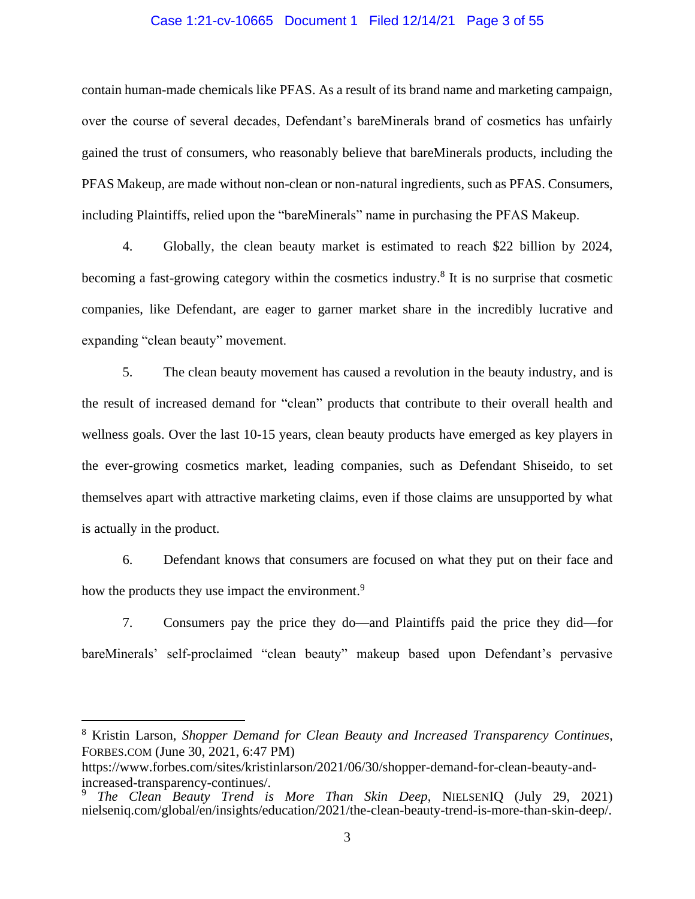#### Case 1:21-cv-10665 Document 1 Filed 12/14/21 Page 3 of 55

contain human-made chemicals like PFAS. As a result of its brand name and marketing campaign, over the course of several decades, Defendant's bareMinerals brand of cosmetics has unfairly gained the trust of consumers, who reasonably believe that bareMinerals products, including the PFAS Makeup, are made without non-clean or non-natural ingredients, such as PFAS. Consumers, including Plaintiffs, relied upon the "bareMinerals" name in purchasing the PFAS Makeup.

4. Globally, the clean beauty market is estimated to reach \$22 billion by 2024, becoming a fast-growing category within the cosmetics industry.<sup>8</sup> It is no surprise that cosmetic companies, like Defendant, are eager to garner market share in the incredibly lucrative and expanding "clean beauty" movement.

5. The clean beauty movement has caused a revolution in the beauty industry, and is the result of increased demand for "clean" products that contribute to their overall health and wellness goals. Over the last 10-15 years, clean beauty products have emerged as key players in the ever-growing cosmetics market, leading companies, such as Defendant Shiseido, to set themselves apart with attractive marketing claims, even if those claims are unsupported by what is actually in the product.

6. Defendant knows that consumers are focused on what they put on their face and how the products they use impact the environment.<sup>9</sup>

7. Consumers pay the price they do—and Plaintiffs paid the price they did—for bareMinerals' self-proclaimed "clean beauty" makeup based upon Defendant's pervasive

<sup>8</sup> Kristin Larson, *Shopper Demand for Clean Beauty and Increased Transparency Continues*, FORBES.COM (June 30, 2021, 6:47 PM)

https://www.forbes.com/sites/kristinlarson/2021/06/30/shopper-demand-for-clean-beauty-andincreased-transparency-continues/.

<sup>9</sup> *The Clean Beauty Trend is More Than Skin Deep*, NIELSENIQ (July 29, 2021) nielseniq.com/global/en/insights/education/2021/the-clean-beauty-trend-is-more-than-skin-deep/.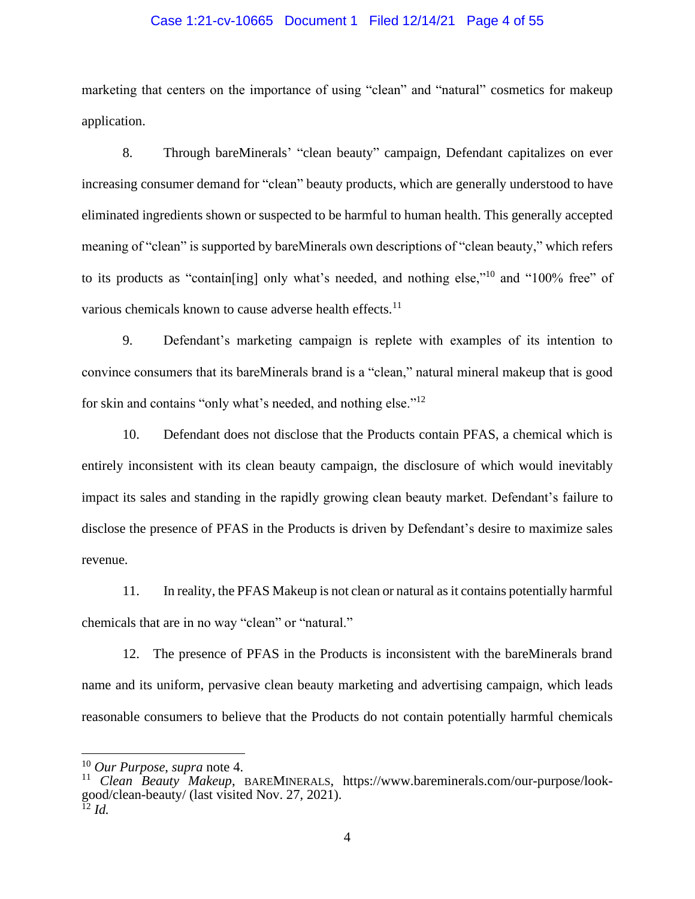#### Case 1:21-cv-10665 Document 1 Filed 12/14/21 Page 4 of 55

marketing that centers on the importance of using "clean" and "natural" cosmetics for makeup application.

8. Through bareMinerals' "clean beauty" campaign, Defendant capitalizes on ever increasing consumer demand for "clean" beauty products, which are generally understood to have eliminated ingredients shown or suspected to be harmful to human health. This generally accepted meaning of "clean" is supported by bareMinerals own descriptions of "clean beauty," which refers to its products as "contain[ing] only what's needed, and nothing else,"<sup>10</sup> and "100% free" of various chemicals known to cause adverse health effects.<sup>11</sup>

9. Defendant's marketing campaign is replete with examples of its intention to convince consumers that its bareMinerals brand is a "clean," natural mineral makeup that is good for skin and contains "only what's needed, and nothing else."<sup>12</sup>

10. Defendant does not disclose that the Products contain PFAS, a chemical which is entirely inconsistent with its clean beauty campaign, the disclosure of which would inevitably impact its sales and standing in the rapidly growing clean beauty market. Defendant's failure to disclose the presence of PFAS in the Products is driven by Defendant's desire to maximize sales revenue.

11. In reality, the PFAS Makeup is not clean or natural as it contains potentially harmful chemicals that are in no way "clean" or "natural."

12. The presence of PFAS in the Products is inconsistent with the bareMinerals brand name and its uniform, pervasive clean beauty marketing and advertising campaign, which leads reasonable consumers to believe that the Products do not contain potentially harmful chemicals

<sup>10</sup> *Our Purpose*, *supra* note 4.

<sup>11</sup> *Clean Beauty Makeup*, BAREMINERALS, https://www.bareminerals.com/our-purpose/lookgood/clean-beauty/ (last visited Nov. 27, 2021).  $^{12}$  *Id.*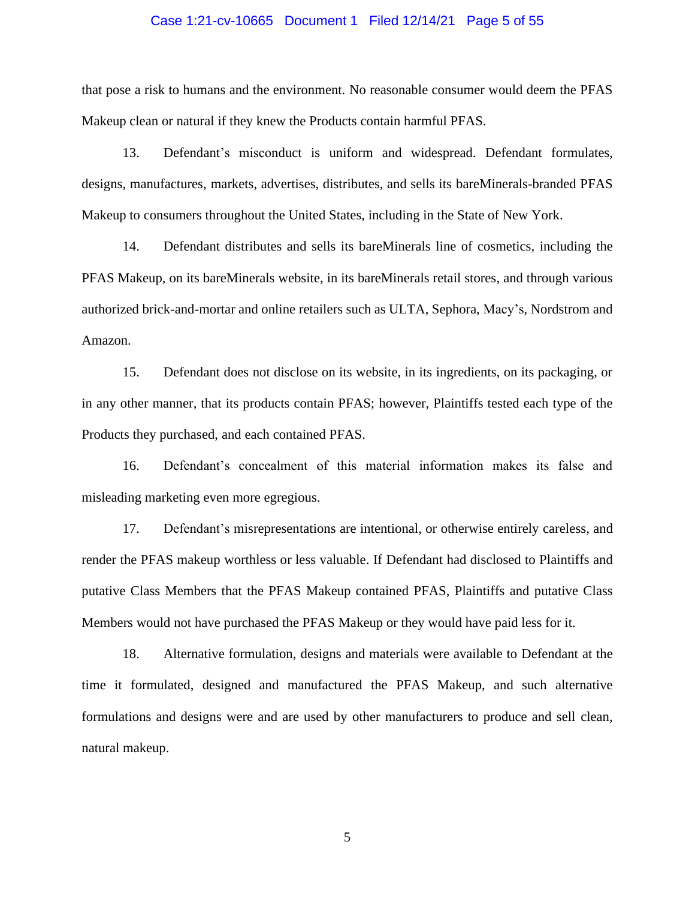#### Case 1:21-cv-10665 Document 1 Filed 12/14/21 Page 5 of 55

that pose a risk to humans and the environment. No reasonable consumer would deem the PFAS Makeup clean or natural if they knew the Products contain harmful PFAS.

13. Defendant's misconduct is uniform and widespread. Defendant formulates, designs, manufactures, markets, advertises, distributes, and sells its bareMinerals-branded PFAS Makeup to consumers throughout the United States, including in the State of New York.

14. Defendant distributes and sells its bareMinerals line of cosmetics, including the PFAS Makeup, on its bareMinerals website, in its bareMinerals retail stores, and through various authorized brick-and-mortar and online retailers such as ULTA, Sephora, Macy's, Nordstrom and Amazon.

15. Defendant does not disclose on its website, in its ingredients, on its packaging, or in any other manner, that its products contain PFAS; however, Plaintiffs tested each type of the Products they purchased, and each contained PFAS.

16. Defendant's concealment of this material information makes its false and misleading marketing even more egregious.

17. Defendant's misrepresentations are intentional, or otherwise entirely careless, and render the PFAS makeup worthless or less valuable. If Defendant had disclosed to Plaintiffs and putative Class Members that the PFAS Makeup contained PFAS, Plaintiffs and putative Class Members would not have purchased the PFAS Makeup or they would have paid less for it.

18. Alternative formulation, designs and materials were available to Defendant at the time it formulated, designed and manufactured the PFAS Makeup, and such alternative formulations and designs were and are used by other manufacturers to produce and sell clean, natural makeup.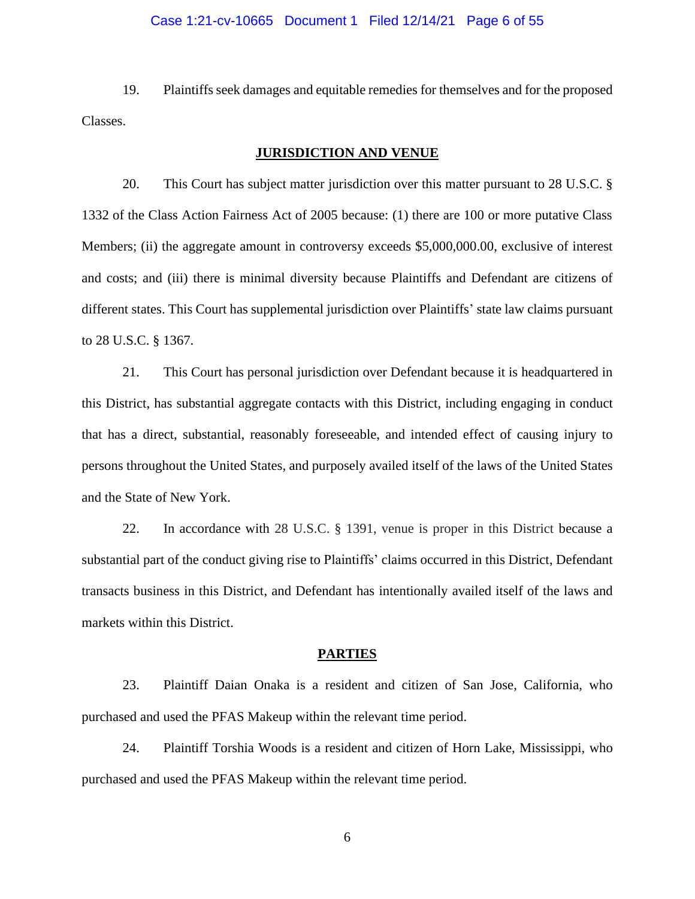#### Case 1:21-cv-10665 Document 1 Filed 12/14/21 Page 6 of 55

19. Plaintiffs seek damages and equitable remedies for themselves and for the proposed Classes.

#### **JURISDICTION AND VENUE**

20. This Court has subject matter jurisdiction over this matter pursuant to 28 U.S.C. § 1332 of the Class Action Fairness Act of 2005 because: (1) there are 100 or more putative Class Members; (ii) the aggregate amount in controversy exceeds \$5,000,000.00, exclusive of interest and costs; and (iii) there is minimal diversity because Plaintiffs and Defendant are citizens of different states. This Court has supplemental jurisdiction over Plaintiffs' state law claims pursuant to 28 U.S.C. § 1367.

21. This Court has personal jurisdiction over Defendant because it is headquartered in this District, has substantial aggregate contacts with this District, including engaging in conduct that has a direct, substantial, reasonably foreseeable, and intended effect of causing injury to persons throughout the United States, and purposely availed itself of the laws of the United States and the State of New York.

22. In accordance with 28 U.S.C. § 1391, venue is proper in this District because a substantial part of the conduct giving rise to Plaintiffs' claims occurred in this District, Defendant transacts business in this District, and Defendant has intentionally availed itself of the laws and markets within this District.

#### **PARTIES**

23. Plaintiff Daian Onaka is a resident and citizen of San Jose, California, who purchased and used the PFAS Makeup within the relevant time period.

24. Plaintiff Torshia Woods is a resident and citizen of Horn Lake, Mississippi, who purchased and used the PFAS Makeup within the relevant time period.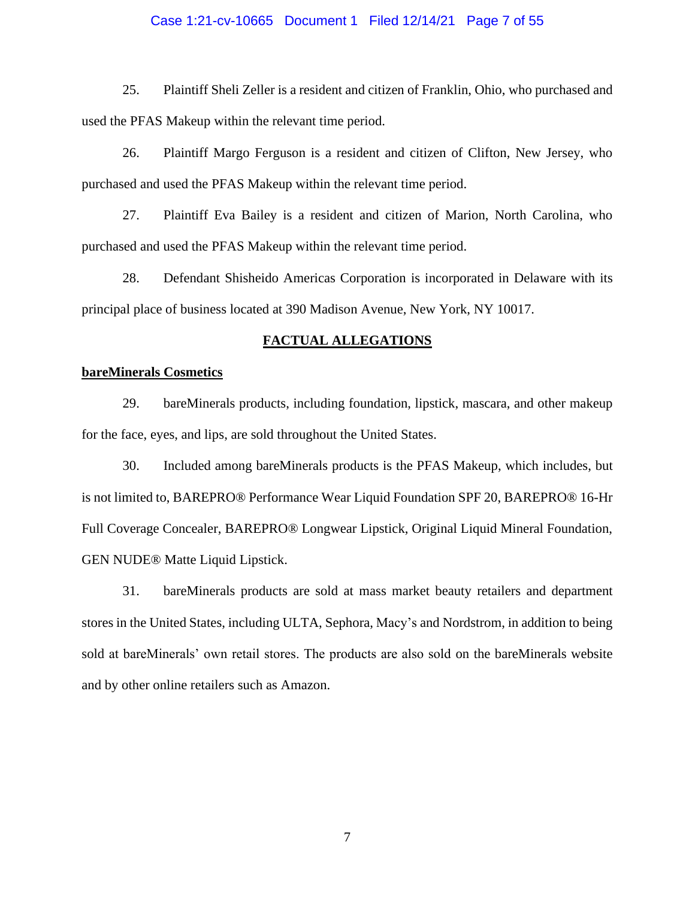#### Case 1:21-cv-10665 Document 1 Filed 12/14/21 Page 7 of 55

25. Plaintiff Sheli Zeller is a resident and citizen of Franklin, Ohio, who purchased and used the PFAS Makeup within the relevant time period.

26. Plaintiff Margo Ferguson is a resident and citizen of Clifton, New Jersey, who purchased and used the PFAS Makeup within the relevant time period.

27. Plaintiff Eva Bailey is a resident and citizen of Marion, North Carolina, who purchased and used the PFAS Makeup within the relevant time period.

28. Defendant Shisheido Americas Corporation is incorporated in Delaware with its principal place of business located at 390 Madison Avenue, New York, NY 10017.

#### **FACTUAL ALLEGATIONS**

### **bareMinerals Cosmetics**

29. bareMinerals products, including foundation, lipstick, mascara, and other makeup for the face, eyes, and lips, are sold throughout the United States.

30. Included among bareMinerals products is the PFAS Makeup, which includes, but is not limited to, BAREPRO® Performance Wear Liquid Foundation SPF 20, BAREPRO® 16-Hr Full Coverage Concealer, BAREPRO® Longwear Lipstick, Original Liquid Mineral Foundation, GEN NUDE® Matte Liquid Lipstick.

31. bareMinerals products are sold at mass market beauty retailers and department stores in the United States, including ULTA, Sephora, Macy's and Nordstrom, in addition to being sold at bareMinerals' own retail stores. The products are also sold on the bareMinerals website and by other online retailers such as Amazon.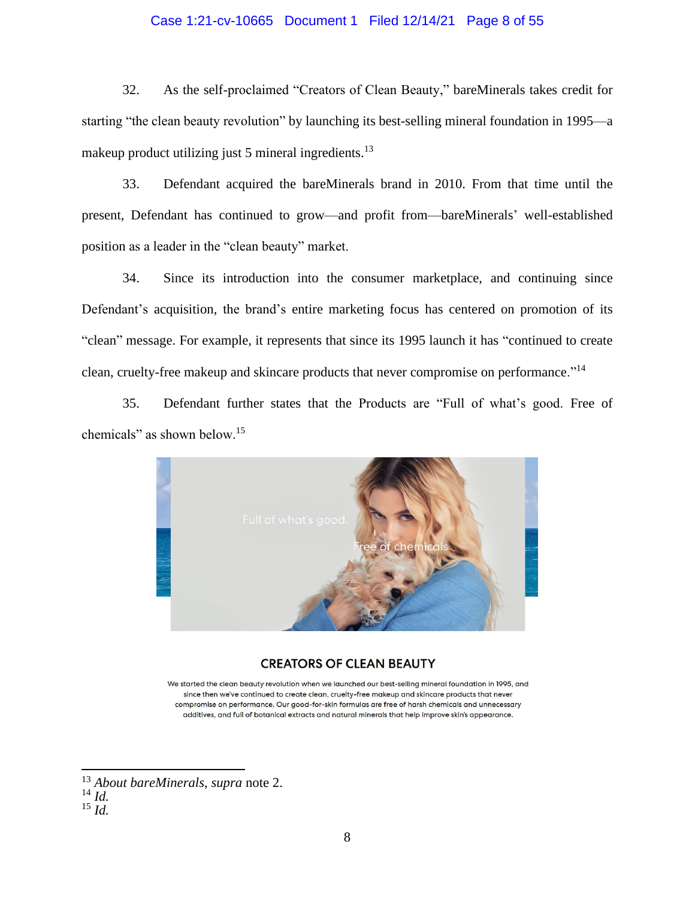### Case 1:21-cv-10665 Document 1 Filed 12/14/21 Page 8 of 55

32. As the self-proclaimed "Creators of Clean Beauty," bareMinerals takes credit for starting "the clean beauty revolution" by launching its best-selling mineral foundation in 1995—a makeup product utilizing just 5 mineral ingredients. $13$ 

33. Defendant acquired the bareMinerals brand in 2010. From that time until the present, Defendant has continued to grow—and profit from—bareMinerals' well-established position as a leader in the "clean beauty" market.

34. Since its introduction into the consumer marketplace, and continuing since Defendant's acquisition, the brand's entire marketing focus has centered on promotion of its "clean" message. For example, it represents that since its 1995 launch it has "continued to create clean, cruelty-free makeup and skincare products that never compromise on performance."<sup>14</sup>

35. Defendant further states that the Products are "Full of what's good. Free of chemicals" as shown below.<sup>15</sup>



#### **CREATORS OF CLEAN BEAUTY**

We started the clean beauty revolution when we launched our best-selling mineral foundation in 1995, and since then we've continued to create clean, cruelty-free makeup and skincare products that never compromise on performance. Our good-for-skin formulas are free of harsh chemicals and unnecessary additives, and full of botanical extracts and natural minerals that help improve skin's appearance.

<sup>13</sup> *About bareMinerals*, *supra* note 2.

<sup>14</sup> *Id.*

 $^{15}$   $\frac{1}{1}$ .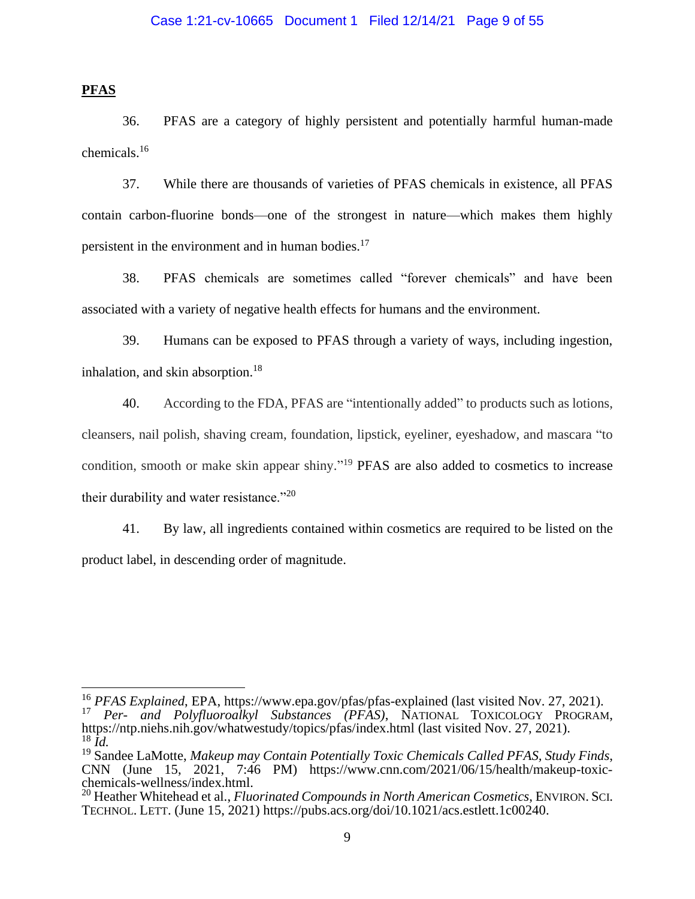**PFAS**

36. PFAS are a category of highly persistent and potentially harmful human-made chemicals.<sup>16</sup>

37. While there are thousands of varieties of PFAS chemicals in existence, all PFAS contain carbon-fluorine bonds—one of the strongest in nature—which makes them highly persistent in the environment and in human bodies.<sup>17</sup>

38. PFAS chemicals are sometimes called "forever chemicals" and have been associated with a variety of negative health effects for humans and the environment.

39. Humans can be exposed to PFAS through a variety of ways, including ingestion, inhalation, and skin absorption.<sup>18</sup>

40. According to the FDA, PFAS are "intentionally added" to products such as lotions, cleansers, nail polish, shaving cream, foundation, lipstick, eyeliner, eyeshadow, and mascara "to condition, smooth or make skin appear shiny."<sup>19</sup> PFAS are also added to cosmetics to increase their durability and water resistance."<sup>20</sup>

41. By law, all ingredients contained within cosmetics are required to be listed on the product label, in descending order of magnitude.

<sup>16</sup> *PFAS Explained*, EPA, https://www.epa.gov/pfas/pfas-explained (last visited Nov. 27, 2021). <sup>17</sup> *Per- and Polyfluoroalkyl Substances (PFAS)*, NATIONAL TOXICOLOGY PROGRAM, https://ntp.niehs.nih.gov/whatwestudy/topics/pfas/index.html (last visited Nov. 27, 2021). <sup>18</sup> *Id.*

<sup>19</sup> Sandee LaMotte, *Makeup may Contain Potentially Toxic Chemicals Called PFAS, Study Finds*, CNN (June 15, 2021, 7:46 PM) https://www.cnn.com/2021/06/15/health/makeup-toxicchemicals-wellness/index.html.

<sup>20</sup> Heather Whitehead et al., *Fluorinated Compounds in North American Cosmetics*, ENVIRON. SCI. TECHNOL. LETT. (June 15, 2021) https://pubs.acs.org/doi/10.1021/acs.estlett.1c00240.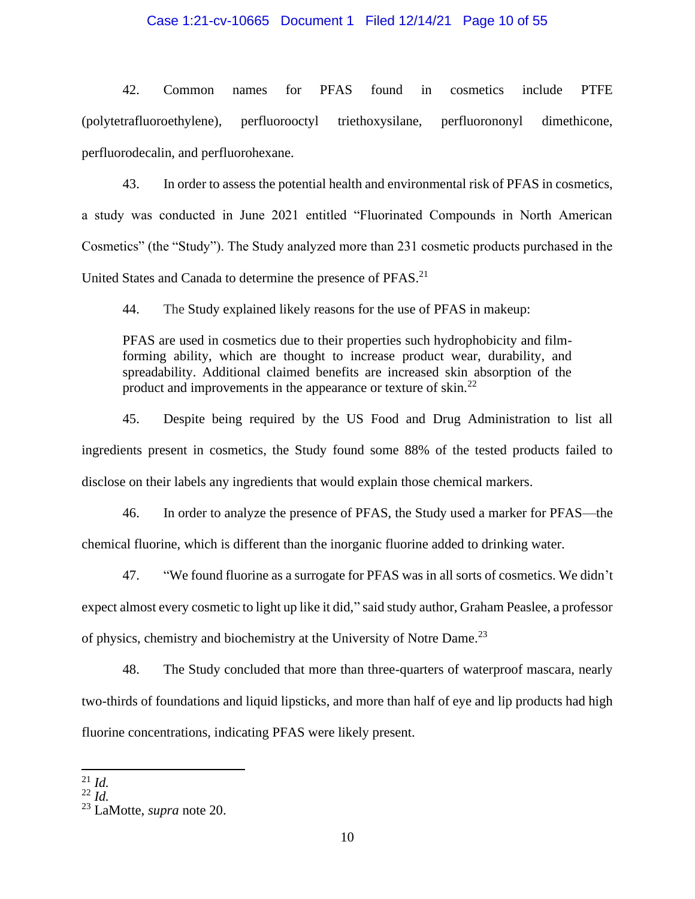### Case 1:21-cv-10665 Document 1 Filed 12/14/21 Page 10 of 55

42. Common names for PFAS found in cosmetics include PTFE (polytetrafluoroethylene), perfluorooctyl triethoxysilane, perfluorononyl dimethicone, perfluorodecalin, and perfluorohexane.

43. In order to assess the potential health and environmental risk of PFAS in cosmetics, a study was conducted in June 2021 entitled "Fluorinated Compounds in North American Cosmetics" (the "Study"). The Study analyzed more than 231 cosmetic products purchased in the United States and Canada to determine the presence of PFAS.<sup>21</sup>

44. The Study explained likely reasons for the use of PFAS in makeup:

PFAS are used in cosmetics due to their properties such hydrophobicity and filmforming ability, which are thought to increase product wear, durability, and spreadability. Additional claimed benefits are increased skin absorption of the product and improvements in the appearance or texture of skin.<sup>22</sup>

45. Despite being required by the US Food and Drug Administration to list all ingredients present in cosmetics, the Study found some 88% of the tested products failed to disclose on their labels any ingredients that would explain those chemical markers.

46. In order to analyze the presence of PFAS, the Study used a marker for PFAS—the chemical fluorine, which is different than the inorganic fluorine added to drinking water.

47. "We found fluorine as a surrogate for PFAS was in all sorts of cosmetics. We didn't expect almost every cosmetic to light up like it did," said study author, Graham Peaslee, a professor of physics, chemistry and biochemistry at the University of Notre Dame.<sup>23</sup>

48. The Study concluded that more than three-quarters of waterproof mascara, nearly two-thirds of foundations and liquid lipsticks, and more than half of eye and lip products had high fluorine concentrations, indicating PFAS were likely present.

 $^{21}$  *Id.* 

 $^{22}$  *Id.* 

<sup>23</sup> LaMotte, *supra* note 20.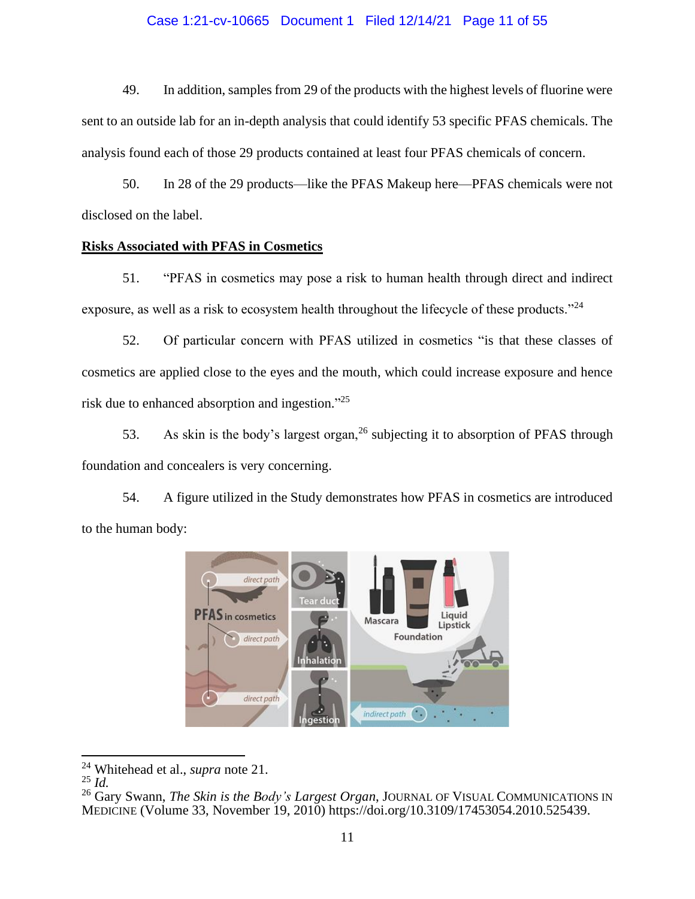### Case 1:21-cv-10665 Document 1 Filed 12/14/21 Page 11 of 55

49. In addition, samples from 29 of the products with the highest levels of fluorine were sent to an outside lab for an in-depth analysis that could identify 53 specific PFAS chemicals. The analysis found each of those 29 products contained at least four PFAS chemicals of concern.

50. In 28 of the 29 products—like the PFAS Makeup here—PFAS chemicals were not disclosed on the label.

#### **Risks Associated with PFAS in Cosmetics**

51. "PFAS in cosmetics may pose a risk to human health through direct and indirect exposure, as well as a risk to ecosystem health throughout the lifecycle of these products."<sup>24</sup>

52. Of particular concern with PFAS utilized in cosmetics "is that these classes of cosmetics are applied close to the eyes and the mouth, which could increase exposure and hence risk due to enhanced absorption and ingestion."<sup>25</sup>

53. As skin is the body's largest organ,  $^{26}$  subjecting it to absorption of PFAS through foundation and concealers is very concerning.

54. A figure utilized in the Study demonstrates how PFAS in cosmetics are introduced to the human body:



<sup>24</sup> Whitehead et al., *supra* note 21.

<sup>25</sup> *Id.*

<sup>26</sup> Gary Swann, *The Skin is the Body's Largest Organ*, JOURNAL OF VISUAL COMMUNICATIONS IN MEDICINE (Volume 33, November 19, 2010) https://doi.org/10.3109/17453054.2010.525439.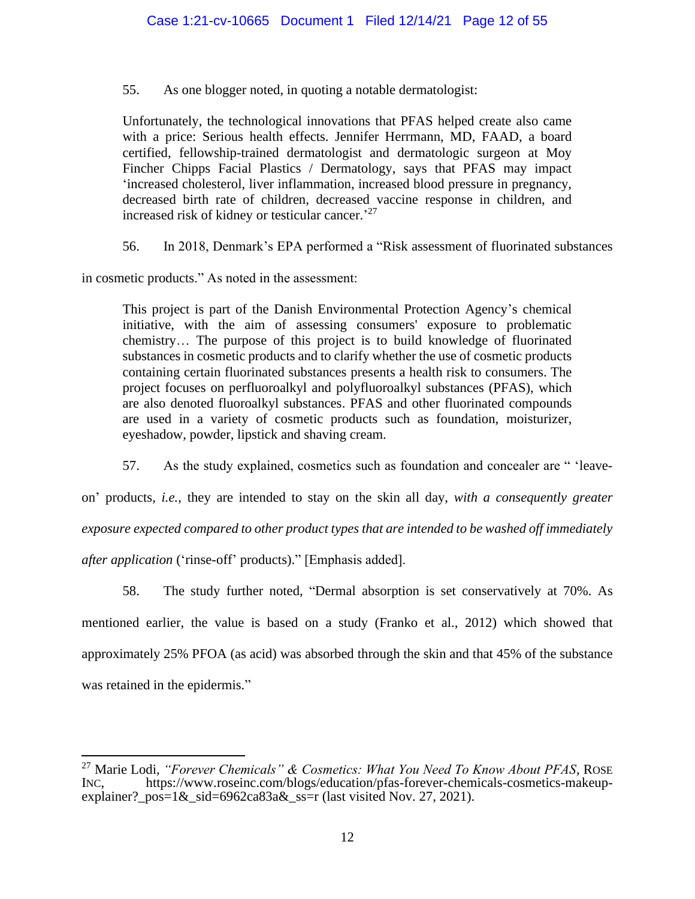55. As one blogger noted, in quoting a notable dermatologist:

Unfortunately, the technological innovations that PFAS helped create also came with a price: Serious health effects. Jennifer Herrmann, MD, FAAD, a board certified, fellowship-trained dermatologist and dermatologic surgeon at Moy Fincher Chipps Facial Plastics / Dermatology, says that PFAS may impact 'increased cholesterol, liver inflammation, increased blood pressure in pregnancy, decreased birth rate of children, decreased vaccine response in children, and increased risk of kidney or testicular cancer.<sup>27</sup>

56. In 2018, Denmark's EPA performed a "Risk assessment of fluorinated substances

in cosmetic products." As noted in the assessment:

This project is part of the Danish Environmental Protection Agency's chemical initiative, with the aim of assessing consumers' exposure to problematic chemistry… The purpose of this project is to build knowledge of fluorinated substances in cosmetic products and to clarify whether the use of cosmetic products containing certain fluorinated substances presents a health risk to consumers. The project focuses on perfluoroalkyl and polyfluoroalkyl substances (PFAS), which are also denoted fluoroalkyl substances. PFAS and other fluorinated compounds are used in a variety of cosmetic products such as foundation, moisturizer, eyeshadow, powder, lipstick and shaving cream.

57. As the study explained, cosmetics such as foundation and concealer are " 'leave-

on' products, *i.e.*, they are intended to stay on the skin all day, *with a consequently greater* 

*exposure expected compared to other product types that are intended to be washed off immediately* 

*after application* ('rinse-off' products)." [Emphasis added].

58. The study further noted, "Dermal absorption is set conservatively at 70%. As mentioned earlier, the value is based on a study (Franko et al., 2012) which showed that approximately 25% PFOA (as acid) was absorbed through the skin and that 45% of the substance was retained in the epidermis."

<sup>27</sup> Marie Lodi, *"Forever Chemicals" & Cosmetics: What You Need To Know About PFAS*, ROSE INC, https://www.roseinc.com/blogs/education/pfas-forever-chemicals-cosmetics-makeupexplainer?\_pos= $1&$ \_sid=6962ca83a $&$ \_ss=r (last visited Nov. 27, 2021).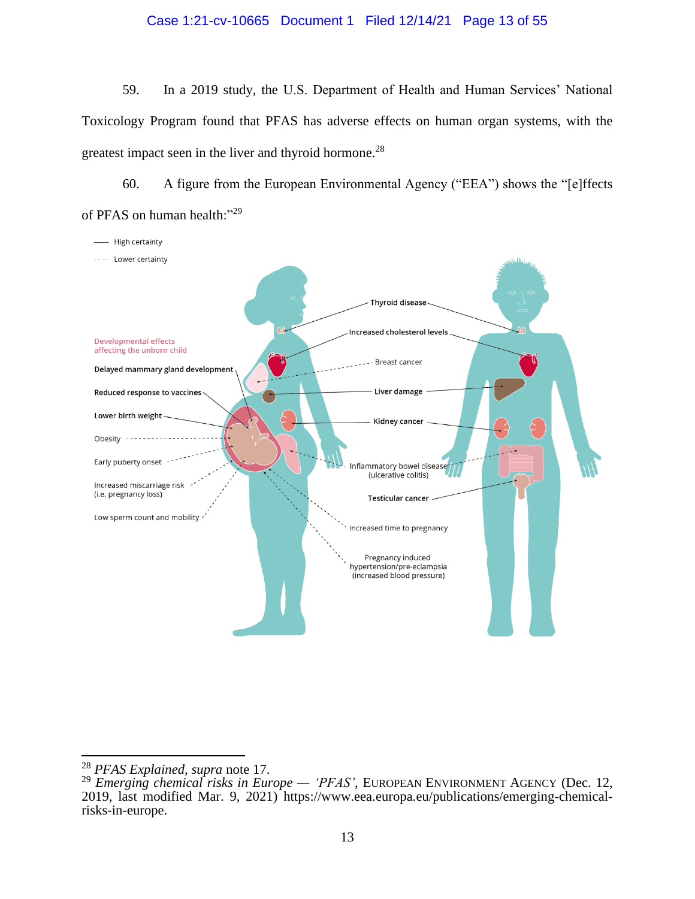### Case 1:21-cv-10665 Document 1 Filed 12/14/21 Page 13 of 55

59. In a 2019 study, the U.S. Department of Health and Human Services' National Toxicology Program found that PFAS has adverse effects on human organ systems, with the greatest impact seen in the liver and thyroid hormone.<sup>28</sup>

60. A figure from the European Environmental Agency ("EEA") shows the "[e]ffects of PFAS on human health:"29



<sup>28</sup> *PFAS Explained*, *supra* note 17.

<sup>29</sup> *Emerging chemical risks in Europe — 'PFAS'*, EUROPEAN ENVIRONMENT AGENCY (Dec. 12, 2019, last modified Mar. 9, 2021) https://www.eea.europa.eu/publications/emerging-chemicalrisks-in-europe.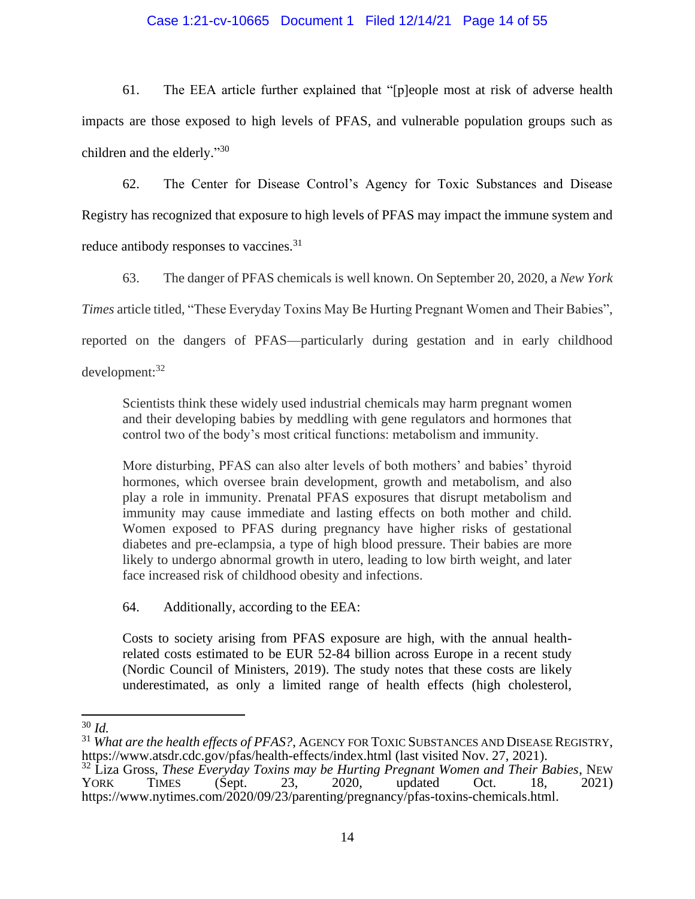### Case 1:21-cv-10665 Document 1 Filed 12/14/21 Page 14 of 55

61. The EEA article further explained that "[p]eople most at risk of adverse health impacts are those exposed to high levels of PFAS, and vulnerable population groups such as children and the elderly."30

62. The Center for Disease Control's Agency for Toxic Substances and Disease Registry has recognized that exposure to high levels of PFAS may impact the immune system and reduce antibody responses to vaccines.<sup>31</sup>

63. The danger of PFAS chemicals is well known. On September 20, 2020, a *New York Times* article titled, "These Everyday Toxins May Be Hurting Pregnant Women and Their Babies", reported on the dangers of PFAS—particularly during gestation and in early childhood development:<sup>32</sup>

Scientists think these widely used industrial chemicals may harm pregnant women and their developing babies by meddling with gene regulators and hormones that control two of the body's most critical functions: metabolism and immunity.

More disturbing, PFAS can also alter levels of both mothers' and babies' thyroid hormones, which oversee brain development, growth and metabolism, and also play a role in immunity. Prenatal PFAS exposures that disrupt metabolism and immunity may cause immediate and lasting effects on both mother and child. Women exposed to PFAS during pregnancy have higher risks of gestational diabetes and pre-eclampsia, a type of high blood pressure. Their babies are more likely to undergo abnormal growth in utero, leading to low birth weight, and later face increased risk of childhood obesity and infections.

64. Additionally, according to the EEA:

Costs to society arising from PFAS exposure are high, with the annual healthrelated costs estimated to be EUR 52-84 billion across Europe in a recent study (Nordic Council of Ministers, 2019). The study notes that these costs are likely underestimated, as only a limited range of health effects (high cholesterol,

<sup>30</sup> *Id.*

<sup>31</sup> *What are the health effects of PFAS?*, AGENCY FOR TOXIC SUBSTANCES AND DISEASE REGISTRY, https://www.atsdr.cdc.gov/pfas/health-effects/index.html (last visited Nov. 27, 2021).

<sup>&</sup>lt;sup>32</sup> Liza Gross, *These Everyday Toxins may be Hurting Pregnant Women and Their Babies*, NEW YORK TIMES (Sept. 23, 2020, updated Oct. 18, 2021) YORK TIMES (Sept. 23, 2020, updated Oct. 18, 2021) https://www.nytimes.com/2020/09/23/parenting/pregnancy/pfas-toxins-chemicals.html.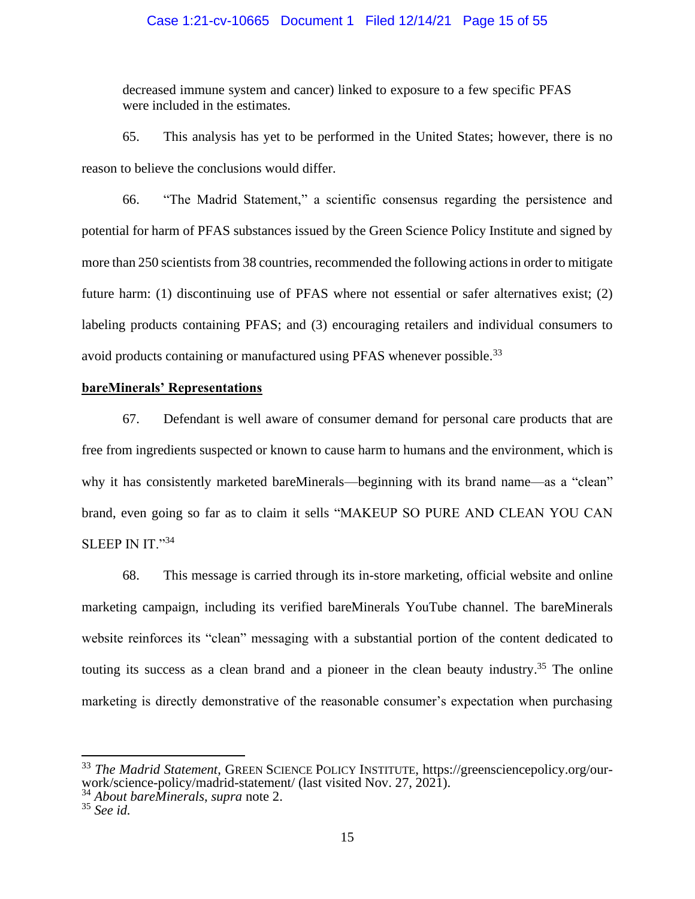### Case 1:21-cv-10665 Document 1 Filed 12/14/21 Page 15 of 55

decreased immune system and cancer) linked to exposure to a few specific PFAS were included in the estimates.

65. This analysis has yet to be performed in the United States; however, there is no reason to believe the conclusions would differ.

66. "The Madrid Statement," a scientific consensus regarding the persistence and potential for harm of PFAS substances issued by the Green Science Policy Institute and signed by more than 250 scientists from 38 countries, recommended the following actions in order to mitigate future harm: (1) discontinuing use of PFAS where not essential or safer alternatives exist; (2) labeling products containing PFAS; and (3) encouraging retailers and individual consumers to avoid products containing or manufactured using PFAS whenever possible.<sup>33</sup>

### **bareMinerals' Representations**

67. Defendant is well aware of consumer demand for personal care products that are free from ingredients suspected or known to cause harm to humans and the environment, which is why it has consistently marketed bareMinerals—beginning with its brand name—as a "clean" brand, even going so far as to claim it sells "MAKEUP SO PURE AND CLEAN YOU CAN SLEEP IN IT."34

68. This message is carried through its in-store marketing, official website and online marketing campaign, including its verified bareMinerals YouTube channel. The bareMinerals website reinforces its "clean" messaging with a substantial portion of the content dedicated to touting its success as a clean brand and a pioneer in the clean beauty industry.<sup>35</sup> The online marketing is directly demonstrative of the reasonable consumer's expectation when purchasing

<sup>33</sup> *The Madrid Statement*, GREEN SCIENCE POLICY INSTITUTE, https://greensciencepolicy.org/ourwork/science-policy/madrid-statement/ (last visited Nov. 27, 2021).

<sup>34</sup> *About bareMinerals*, *supra* note 2.

<sup>35</sup> *See id.*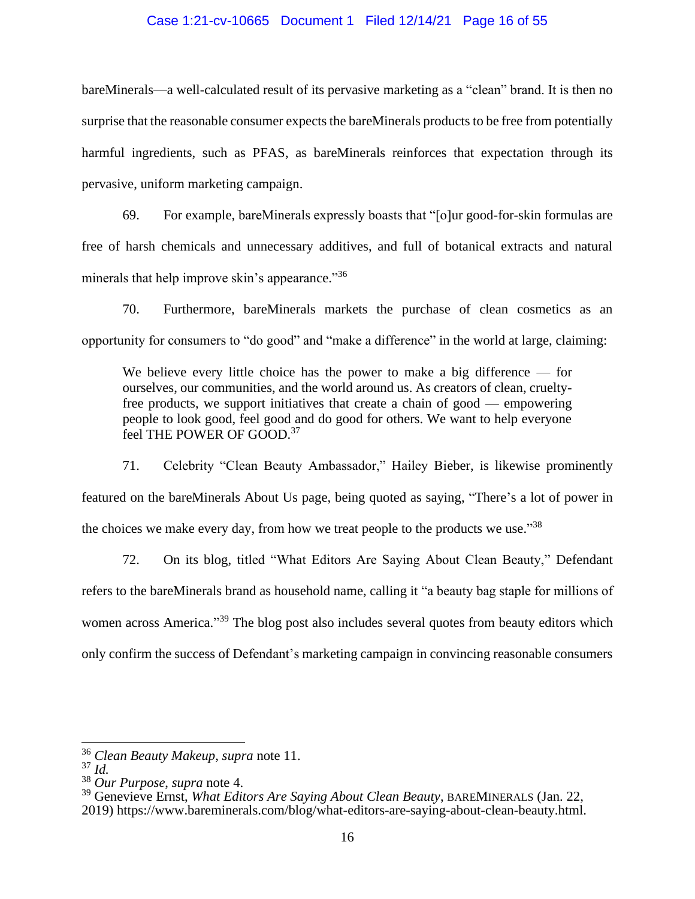#### Case 1:21-cv-10665 Document 1 Filed 12/14/21 Page 16 of 55

bareMinerals—a well-calculated result of its pervasive marketing as a "clean" brand. It is then no surprise that the reasonable consumer expects the bareMinerals products to be free from potentially harmful ingredients, such as PFAS, as bareMinerals reinforces that expectation through its pervasive, uniform marketing campaign.

69. For example, bareMinerals expressly boasts that "[o]ur good-for-skin formulas are free of harsh chemicals and unnecessary additives, and full of botanical extracts and natural minerals that help improve skin's appearance."36

70. Furthermore, bareMinerals markets the purchase of clean cosmetics as an opportunity for consumers to "do good" and "make a difference" in the world at large, claiming:

We believe every little choice has the power to make a big difference  $-$  for ourselves, our communities, and the world around us. As creators of clean, crueltyfree products, we support initiatives that create a chain of good — empowering people to look good, feel good and do good for others. We want to help everyone feel THE POWER OF GOOD.<sup>37</sup>

71. Celebrity "Clean Beauty Ambassador," Hailey Bieber, is likewise prominently featured on the bareMinerals About Us page, being quoted as saying, "There's a lot of power in the choices we make every day, from how we treat people to the products we use."<sup>38</sup>

72. On its blog, titled "What Editors Are Saying About Clean Beauty," Defendant refers to the bareMinerals brand as household name, calling it "a beauty bag staple for millions of women across America."<sup>39</sup> The blog post also includes several quotes from beauty editors which only confirm the success of Defendant's marketing campaign in convincing reasonable consumers

<sup>36</sup> *Clean Beauty Makeup*, *supra* note 11.

<sup>37</sup> *Id.*

<sup>38</sup> *Our Purpose*, *supra* note 4.

<sup>39</sup> Genevieve Ernst, *What Editors Are Saying About Clean Beauty*, BAREMINERALS (Jan. 22, 2019) https://www.bareminerals.com/blog/what-editors-are-saying-about-clean-beauty.html.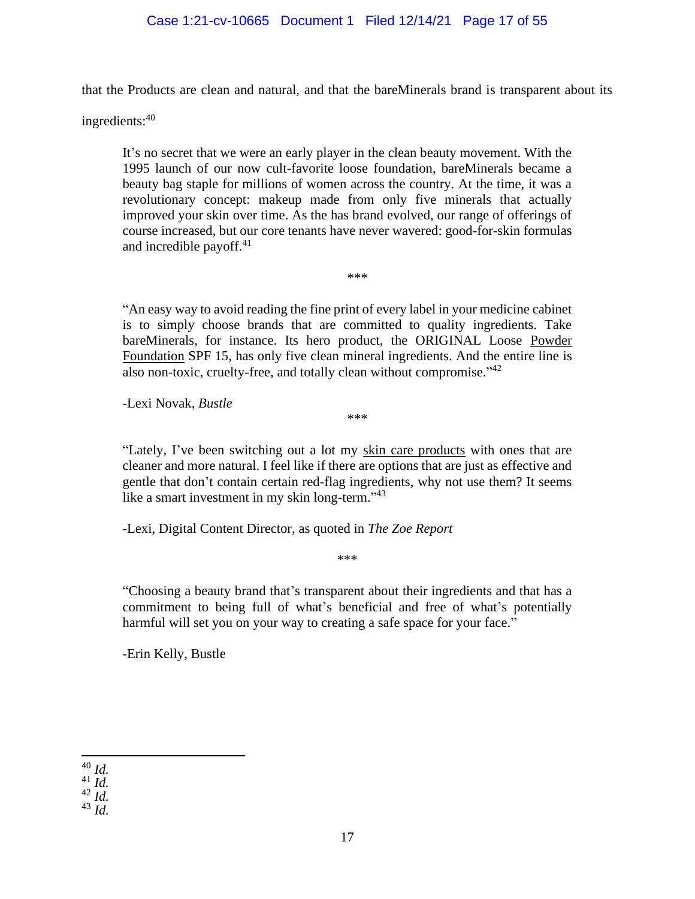### Case 1:21-cv-10665 Document 1 Filed 12/14/21 Page 17 of 55

that the Products are clean and natural, and that the bareMinerals brand is transparent about its

ingredients:<sup>40</sup>

It's no secret that we were an early player in the clean beauty movement. With the 1995 launch of our now cult-favorite loose foundation, bareMinerals became a beauty bag staple for millions of women across the country. At the time, it was a revolutionary concept: makeup made from only five minerals that actually improved your skin over time. As the has brand evolved, our range of offerings of course increased, but our core tenants have never wavered: good-for-skin formulas and incredible payoff. $41$ 

"An easy way to avoid reading the fine print of every label in your medicine cabinet is to simply choose brands that are committed to quality ingredients. Take bareMinerals, for instance. Its hero product, the ORIGINAL Loose [Powder](https://www.bareminerals.com/makeup/face/foundation/original-foundation-broad-spectrum-spf-15/USMasterSPF15Found.html?dwvar_USMasterSPF15Found_SkinShade=Medium%20Beige%2012)  [Foundation](https://www.bareminerals.com/makeup/face/foundation/original-foundation-broad-spectrum-spf-15/USMasterSPF15Found.html?dwvar_USMasterSPF15Found_SkinShade=Medium%20Beige%2012) SPF 15, has only five clean mineral ingredients. And the entire line is also non-toxic, cruelty-free, and totally clean without compromise."<sup>42</sup>

\*\*\*

-Lexi Novak, *Bustle*

\*\*\*

"Lately, I've been switching out a lot my [skin care products](https://www.bareminerals.com/skincare/all-skincare/) with ones that are cleaner and more natural. I feel like if there are options that are just as effective and gentle that don't contain certain red-flag ingredients, why not use them? It seems like a smart investment in my skin long-term."<sup>43</sup>

-Lexi, Digital Content Director, as quoted in *The Zoe Report*

\*\*\*

"Choosing a beauty brand that's transparent about their ingredients and that has a commitment to being full of what's beneficial and free of what's potentially harmful will set you on your way to creating a safe space for your face."

-Erin Kelly, Bustle

<sup>40</sup> *Id.*

<sup>41</sup> *Id.*

<sup>42</sup> *Id.*

<sup>43</sup> *Id.*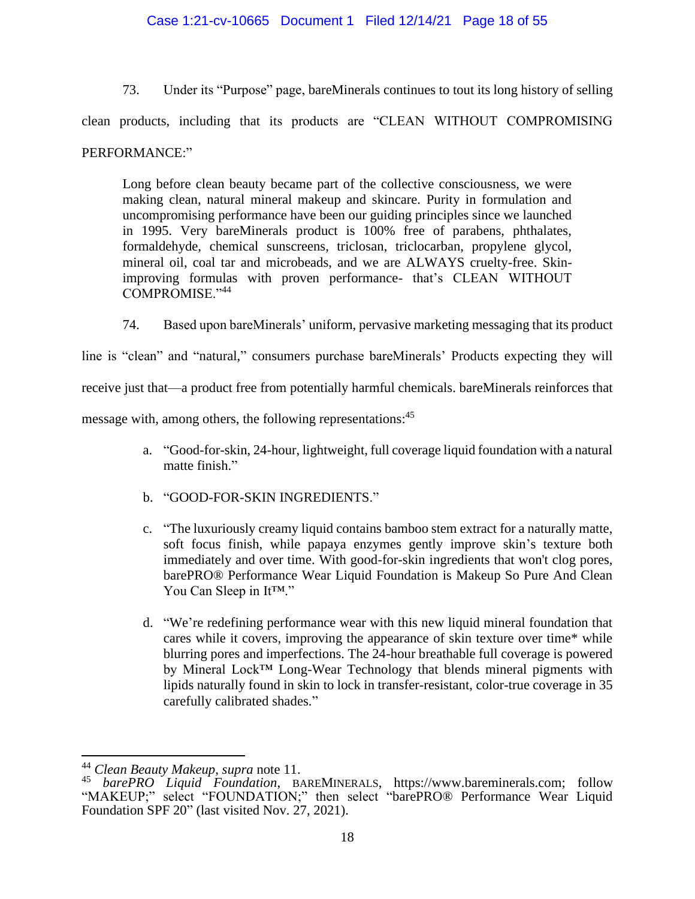73. Under its "Purpose" page, bareMinerals continues to tout its long history of selling clean products, including that its products are "CLEAN WITHOUT COMPROMISING PERFORMANCE:"

Long before clean beauty became part of the collective consciousness, we were making clean, natural mineral makeup and skincare. Purity in formulation and uncompromising performance have been our guiding principles since we launched in 1995. Very bareMinerals product is 100% free of parabens, phthalates, formaldehyde, chemical sunscreens, triclosan, triclocarban, propylene glycol, mineral oil, coal tar and microbeads, and we are ALWAYS cruelty-free. Skinimproving formulas with proven performance- that's CLEAN WITHOUT COMPROMISE."<sup>44</sup>

74. Based upon bareMinerals' uniform, pervasive marketing messaging that its product

line is "clean" and "natural," consumers purchase bareMinerals' Products expecting they will

receive just that—a product free from potentially harmful chemicals. bareMinerals reinforces that

message with, among others, the following representations:<sup>45</sup>

- a. "Good-for-skin, 24-hour, lightweight, full coverage liquid foundation with a natural matte finish."
- b. "GOOD-FOR-SKIN INGREDIENTS."
- c. "The luxuriously creamy liquid contains bamboo stem extract for a naturally matte, soft focus finish, while papaya enzymes gently improve skin's texture both immediately and over time. With good-for-skin ingredients that won't clog pores, barePRO® Performance Wear Liquid Foundation is Makeup So Pure And Clean You Can Sleep in It™."
- d. "We're redefining performance wear with this new liquid mineral foundation that cares while it covers, improving the appearance of skin texture over time\* while blurring pores and imperfections. The 24-hour breathable full coverage is powered by Mineral Lock™ Long-Wear Technology that blends mineral pigments with lipids naturally found in skin to lock in transfer-resistant, color-true coverage in 35 carefully calibrated shades."

<sup>44</sup> *Clean Beauty Makeup*, *supra* note 11.

<sup>45</sup> *barePRO Liquid Foundation*, BAREMINERALS, https://www.bareminerals.com; follow "MAKEUP;" select "FOUNDATION;" then select "barePRO® Performance Wear Liquid Foundation SPF 20" (last visited Nov. 27, 2021).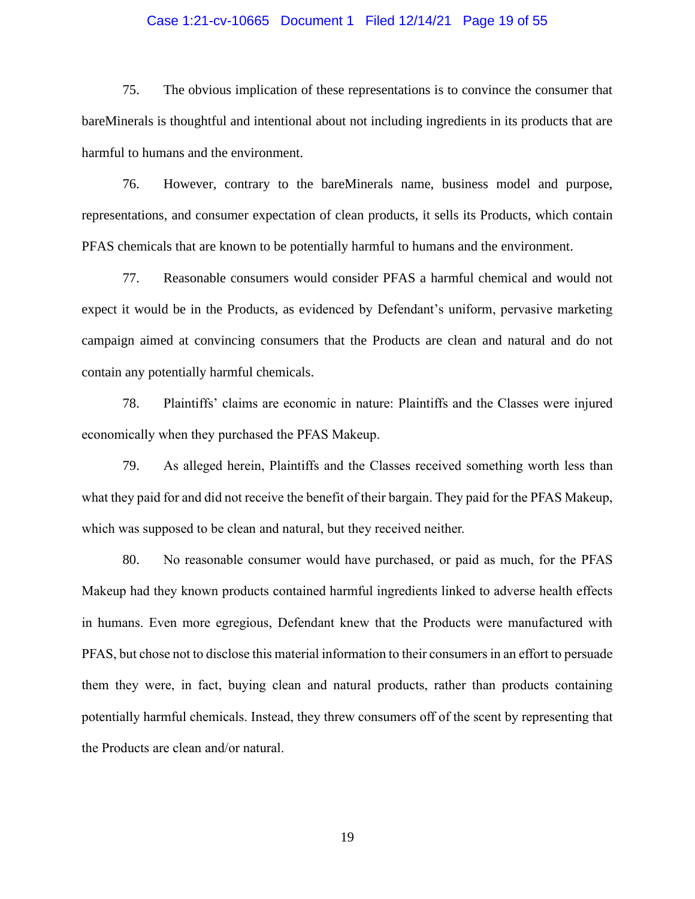### Case 1:21-cv-10665 Document 1 Filed 12/14/21 Page 19 of 55

75. The obvious implication of these representations is to convince the consumer that bareMinerals is thoughtful and intentional about not including ingredients in its products that are harmful to humans and the environment.

76. However, contrary to the bareMinerals name, business model and purpose, representations, and consumer expectation of clean products, it sells its Products, which contain PFAS chemicals that are known to be potentially harmful to humans and the environment.

77. Reasonable consumers would consider PFAS a harmful chemical and would not expect it would be in the Products, as evidenced by Defendant's uniform, pervasive marketing campaign aimed at convincing consumers that the Products are clean and natural and do not contain any potentially harmful chemicals.

78. Plaintiffs' claims are economic in nature: Plaintiffs and the Classes were injured economically when they purchased the PFAS Makeup.

79. As alleged herein, Plaintiffs and the Classes received something worth less than what they paid for and did not receive the benefit of their bargain. They paid for the PFAS Makeup, which was supposed to be clean and natural, but they received neither.

80. No reasonable consumer would have purchased, or paid as much, for the PFAS Makeup had they known products contained harmful ingredients linked to adverse health effects in humans. Even more egregious, Defendant knew that the Products were manufactured with PFAS, but chose not to disclose this material information to their consumers in an effort to persuade them they were, in fact, buying clean and natural products, rather than products containing potentially harmful chemicals. Instead, they threw consumers off of the scent by representing that the Products are clean and/or natural.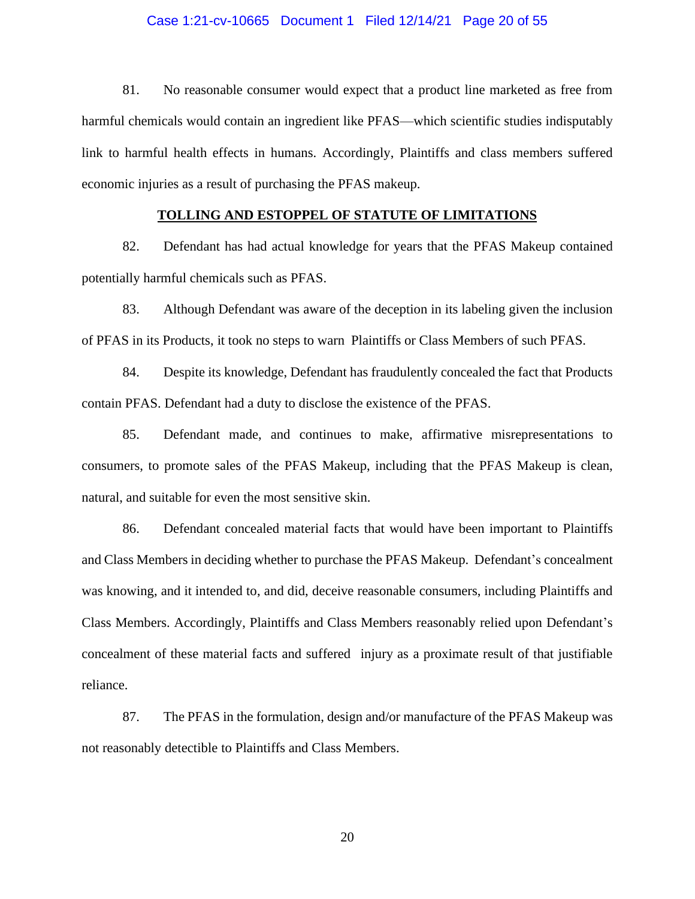#### Case 1:21-cv-10665 Document 1 Filed 12/14/21 Page 20 of 55

81. No reasonable consumer would expect that a product line marketed as free from harmful chemicals would contain an ingredient like PFAS—which scientific studies indisputably link to harmful health effects in humans. Accordingly, Plaintiffs and class members suffered economic injuries as a result of purchasing the PFAS makeup.

### **TOLLING AND ESTOPPEL OF STATUTE OF LIMITATIONS**

82. Defendant has had actual knowledge for years that the PFAS Makeup contained potentially harmful chemicals such as PFAS.

83. Although Defendant was aware of the deception in its labeling given the inclusion of PFAS in its Products, it took no steps to warn Plaintiffs or Class Members of such PFAS.

84. Despite its knowledge, Defendant has fraudulently concealed the fact that Products contain PFAS. Defendant had a duty to disclose the existence of the PFAS.

85. Defendant made, and continues to make, affirmative misrepresentations to consumers, to promote sales of the PFAS Makeup, including that the PFAS Makeup is clean, natural, and suitable for even the most sensitive skin.

86. Defendant concealed material facts that would have been important to Plaintiffs and Class Members in deciding whether to purchase the PFAS Makeup. Defendant's concealment was knowing, and it intended to, and did, deceive reasonable consumers, including Plaintiffs and Class Members. Accordingly, Plaintiffs and Class Members reasonably relied upon Defendant's concealment of these material facts and suffered injury as a proximate result of that justifiable reliance.

87. The PFAS in the formulation, design and/or manufacture of the PFAS Makeup was not reasonably detectible to Plaintiffs and Class Members.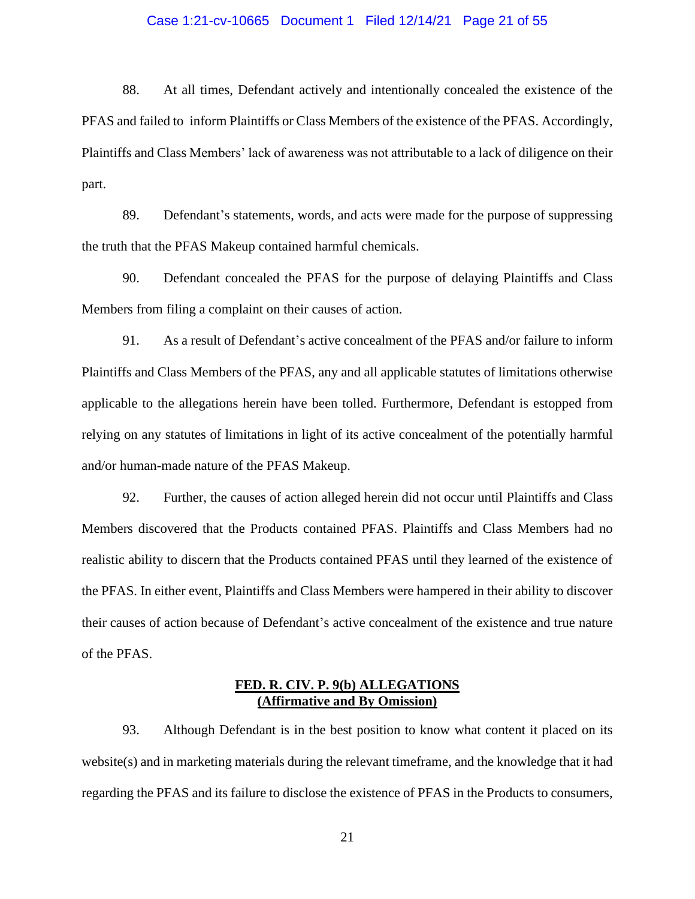#### Case 1:21-cv-10665 Document 1 Filed 12/14/21 Page 21 of 55

88. At all times, Defendant actively and intentionally concealed the existence of the PFAS and failed to inform Plaintiffs or Class Members of the existence of the PFAS. Accordingly, Plaintiffs and Class Members' lack of awareness was not attributable to a lack of diligence on their part.

89. Defendant's statements, words, and acts were made for the purpose of suppressing the truth that the PFAS Makeup contained harmful chemicals.

90. Defendant concealed the PFAS for the purpose of delaying Plaintiffs and Class Members from filing a complaint on their causes of action.

91. As a result of Defendant's active concealment of the PFAS and/or failure to inform Plaintiffs and Class Members of the PFAS, any and all applicable statutes of limitations otherwise applicable to the allegations herein have been tolled. Furthermore, Defendant is estopped from relying on any statutes of limitations in light of its active concealment of the potentially harmful and/or human-made nature of the PFAS Makeup.

92. Further, the causes of action alleged herein did not occur until Plaintiffs and Class Members discovered that the Products contained PFAS. Plaintiffs and Class Members had no realistic ability to discern that the Products contained PFAS until they learned of the existence of the PFAS. In either event, Plaintiffs and Class Members were hampered in their ability to discover their causes of action because of Defendant's active concealment of the existence and true nature of the PFAS.

### **FED. R. CIV. P. 9(b) ALLEGATIONS (Affirmative and By Omission)**

93. Although Defendant is in the best position to know what content it placed on its website(s) and in marketing materials during the relevant timeframe, and the knowledge that it had regarding the PFAS and its failure to disclose the existence of PFAS in the Products to consumers,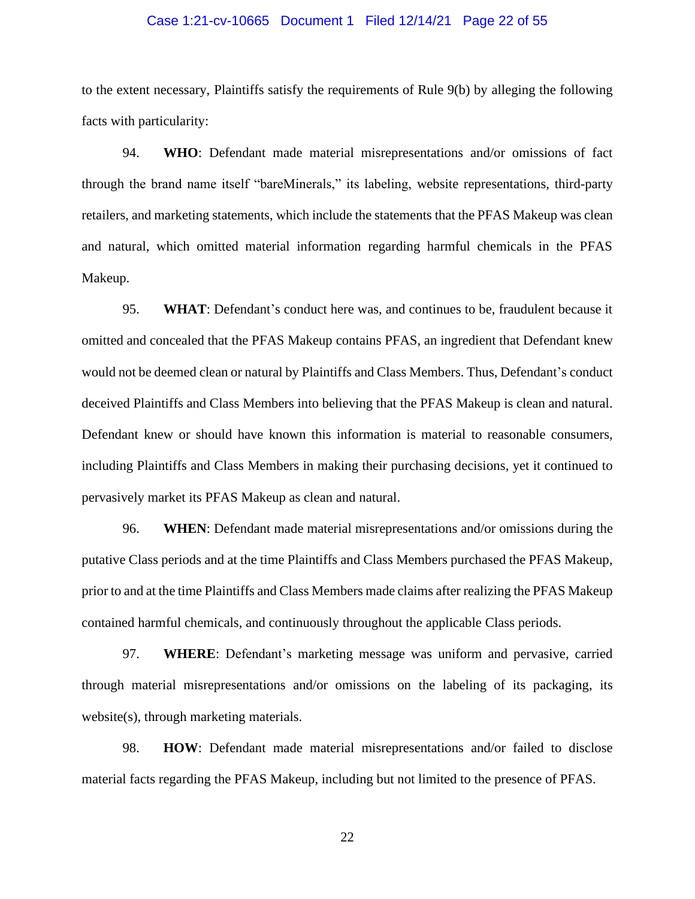#### Case 1:21-cv-10665 Document 1 Filed 12/14/21 Page 22 of 55

to the extent necessary, Plaintiffs satisfy the requirements of Rule 9(b) by alleging the following facts with particularity:

94. **WHO**: Defendant made material misrepresentations and/or omissions of fact through the brand name itself "bareMinerals," its labeling, website representations, third-party retailers, and marketing statements, which include the statements that the PFAS Makeup was clean and natural, which omitted material information regarding harmful chemicals in the PFAS Makeup.

95. **WHAT**: Defendant's conduct here was, and continues to be, fraudulent because it omitted and concealed that the PFAS Makeup contains PFAS, an ingredient that Defendant knew would not be deemed clean or natural by Plaintiffs and Class Members. Thus, Defendant's conduct deceived Plaintiffs and Class Members into believing that the PFAS Makeup is clean and natural. Defendant knew or should have known this information is material to reasonable consumers, including Plaintiffs and Class Members in making their purchasing decisions, yet it continued to pervasively market its PFAS Makeup as clean and natural.

96. **WHEN**: Defendant made material misrepresentations and/or omissions during the putative Class periods and at the time Plaintiffs and Class Members purchased the PFAS Makeup, prior to and at the time Plaintiffs and Class Members made claims after realizing the PFAS Makeup contained harmful chemicals, and continuously throughout the applicable Class periods.

97. **WHERE**: Defendant's marketing message was uniform and pervasive, carried through material misrepresentations and/or omissions on the labeling of its packaging, its website(s), through marketing materials.

98. **HOW**: Defendant made material misrepresentations and/or failed to disclose material facts regarding the PFAS Makeup, including but not limited to the presence of PFAS.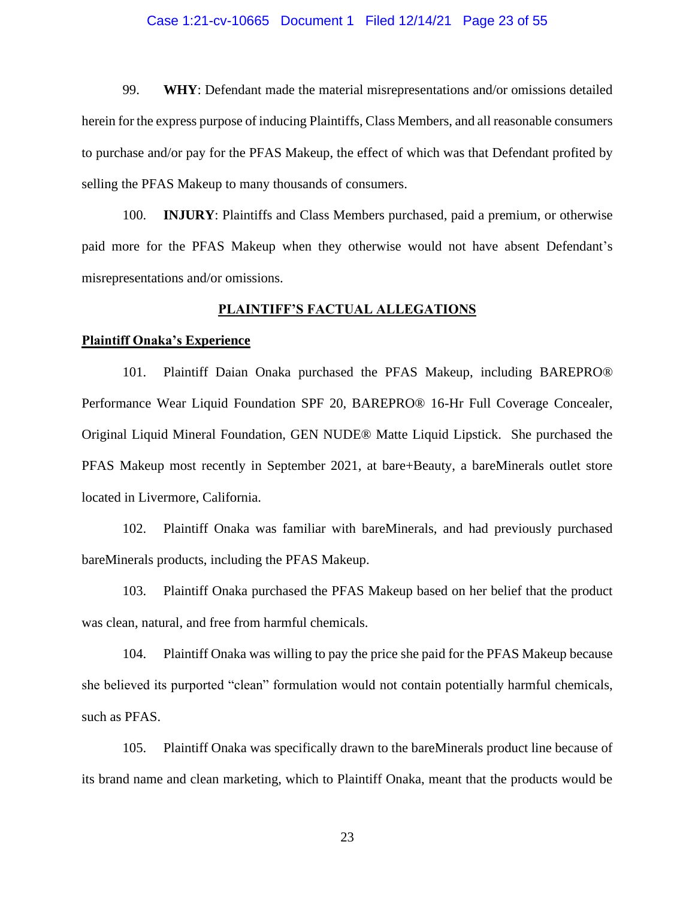#### Case 1:21-cv-10665 Document 1 Filed 12/14/21 Page 23 of 55

99. **WHY**: Defendant made the material misrepresentations and/or omissions detailed herein for the express purpose of inducing Plaintiffs, Class Members, and all reasonable consumers to purchase and/or pay for the PFAS Makeup, the effect of which was that Defendant profited by selling the PFAS Makeup to many thousands of consumers.

100. **INJURY**: Plaintiffs and Class Members purchased, paid a premium, or otherwise paid more for the PFAS Makeup when they otherwise would not have absent Defendant's misrepresentations and/or omissions.

### **PLAINTIFF'S FACTUAL ALLEGATIONS**

#### **Plaintiff Onaka's Experience**

101. Plaintiff Daian Onaka purchased the PFAS Makeup, including BAREPRO® Performance Wear Liquid Foundation SPF 20, BAREPRO® 16-Hr Full Coverage Concealer, Original Liquid Mineral Foundation, GEN NUDE® Matte Liquid Lipstick. She purchased the PFAS Makeup most recently in September 2021, at bare+Beauty, a bareMinerals outlet store located in Livermore, California.

102. Plaintiff Onaka was familiar with bareMinerals, and had previously purchased bareMinerals products, including the PFAS Makeup.

103. Plaintiff Onaka purchased the PFAS Makeup based on her belief that the product was clean, natural, and free from harmful chemicals.

104. Plaintiff Onaka was willing to pay the price she paid for the PFAS Makeup because she believed its purported "clean" formulation would not contain potentially harmful chemicals, such as PFAS.

105. Plaintiff Onaka was specifically drawn to the bareMinerals product line because of its brand name and clean marketing, which to Plaintiff Onaka, meant that the products would be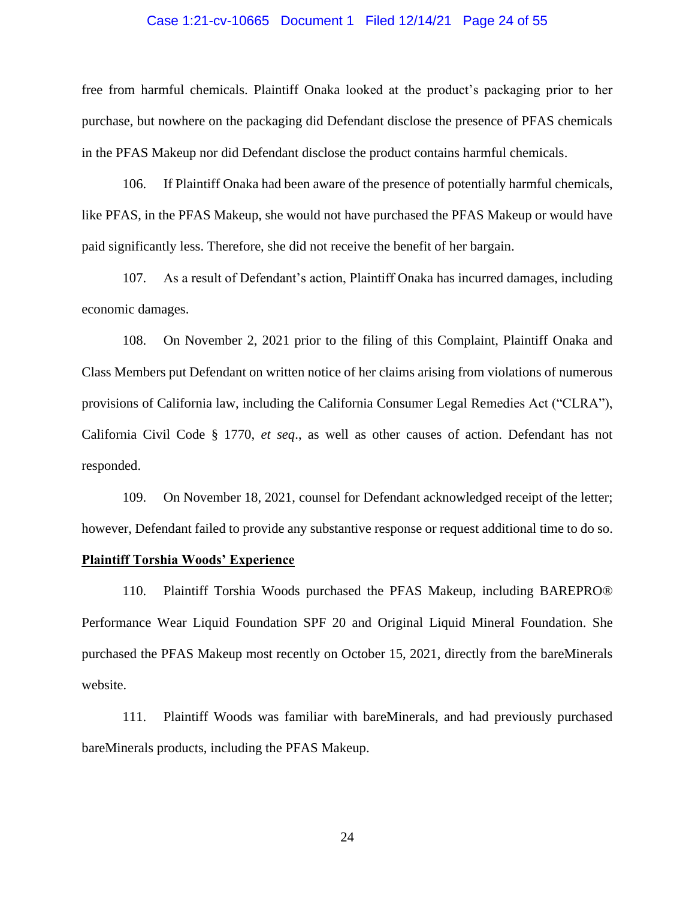#### Case 1:21-cv-10665 Document 1 Filed 12/14/21 Page 24 of 55

free from harmful chemicals. Plaintiff Onaka looked at the product's packaging prior to her purchase, but nowhere on the packaging did Defendant disclose the presence of PFAS chemicals in the PFAS Makeup nor did Defendant disclose the product contains harmful chemicals.

106. If Plaintiff Onaka had been aware of the presence of potentially harmful chemicals, like PFAS, in the PFAS Makeup, she would not have purchased the PFAS Makeup or would have paid significantly less. Therefore, she did not receive the benefit of her bargain.

107. As a result of Defendant's action, Plaintiff Onaka has incurred damages, including economic damages.

108. On November 2, 2021 prior to the filing of this Complaint, Plaintiff Onaka and Class Members put Defendant on written notice of her claims arising from violations of numerous provisions of California law, including the California Consumer Legal Remedies Act ("CLRA"), California Civil Code § 1770, *et seq*., as well as other causes of action. Defendant has not responded.

109. On November 18, 2021, counsel for Defendant acknowledged receipt of the letter; however, Defendant failed to provide any substantive response or request additional time to do so.

### **Plaintiff Torshia Woods' Experience**

110. Plaintiff Torshia Woods purchased the PFAS Makeup, including BAREPRO® Performance Wear Liquid Foundation SPF 20 and Original Liquid Mineral Foundation. She purchased the PFAS Makeup most recently on October 15, 2021, directly from the bareMinerals website.

111. Plaintiff Woods was familiar with bareMinerals, and had previously purchased bareMinerals products, including the PFAS Makeup.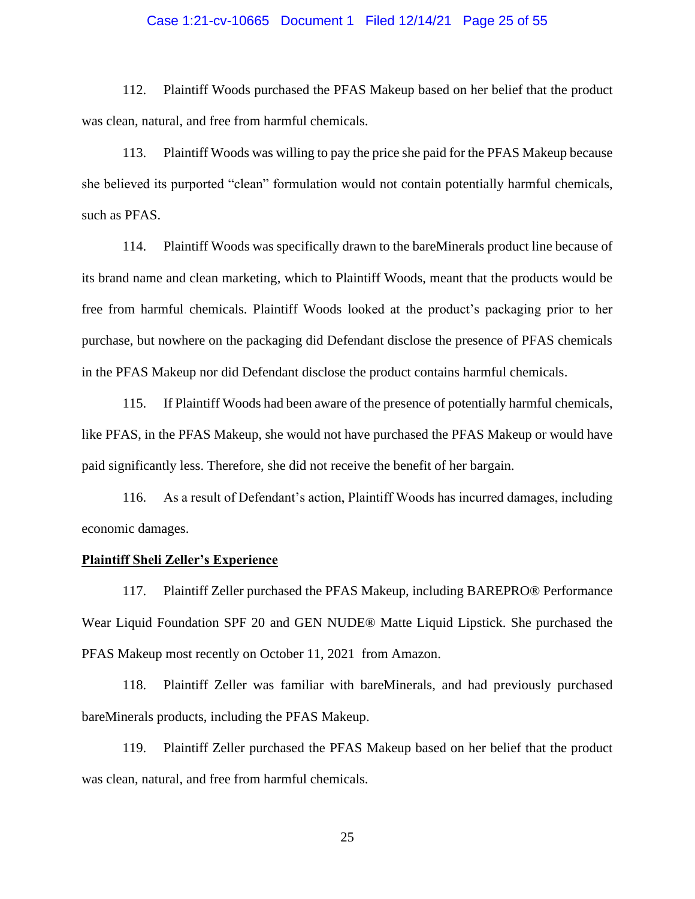#### Case 1:21-cv-10665 Document 1 Filed 12/14/21 Page 25 of 55

112. Plaintiff Woods purchased the PFAS Makeup based on her belief that the product was clean, natural, and free from harmful chemicals.

113. Plaintiff Woods was willing to pay the price she paid for the PFAS Makeup because she believed its purported "clean" formulation would not contain potentially harmful chemicals, such as PFAS.

114. Plaintiff Woods was specifically drawn to the bareMinerals product line because of its brand name and clean marketing, which to Plaintiff Woods, meant that the products would be free from harmful chemicals. Plaintiff Woods looked at the product's packaging prior to her purchase, but nowhere on the packaging did Defendant disclose the presence of PFAS chemicals in the PFAS Makeup nor did Defendant disclose the product contains harmful chemicals.

115. If Plaintiff Woods had been aware of the presence of potentially harmful chemicals, like PFAS, in the PFAS Makeup, she would not have purchased the PFAS Makeup or would have paid significantly less. Therefore, she did not receive the benefit of her bargain.

116. As a result of Defendant's action, Plaintiff Woods has incurred damages, including economic damages.

### **Plaintiff Sheli Zeller's Experience**

117. Plaintiff Zeller purchased the PFAS Makeup, including BAREPRO® Performance Wear Liquid Foundation SPF 20 and GEN NUDE® Matte Liquid Lipstick. She purchased the PFAS Makeup most recently on October 11, 2021 from Amazon.

118. Plaintiff Zeller was familiar with bareMinerals, and had previously purchased bareMinerals products, including the PFAS Makeup.

119. Plaintiff Zeller purchased the PFAS Makeup based on her belief that the product was clean, natural, and free from harmful chemicals.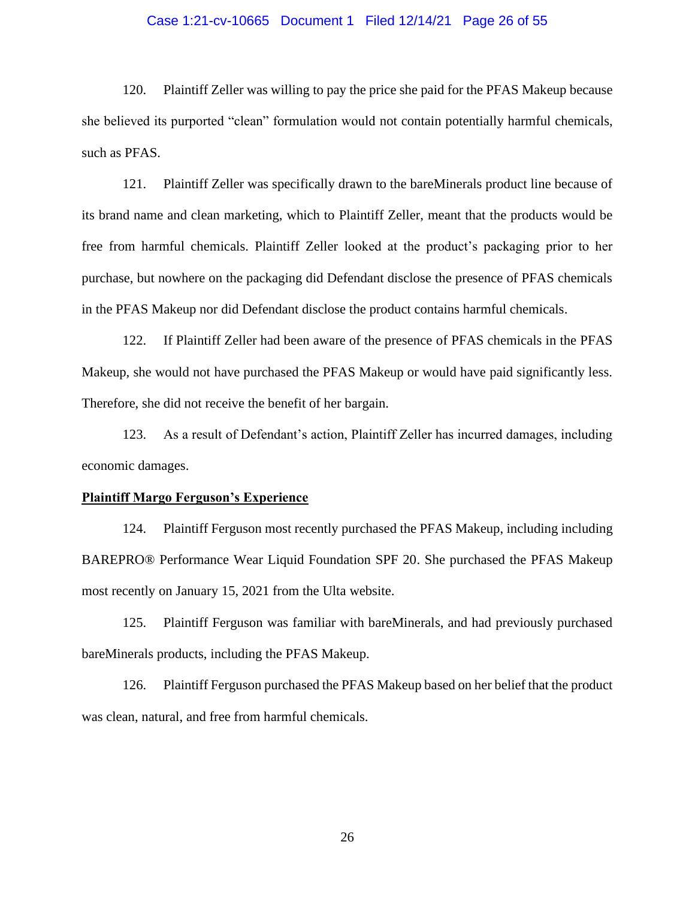#### Case 1:21-cv-10665 Document 1 Filed 12/14/21 Page 26 of 55

120. Plaintiff Zeller was willing to pay the price she paid for the PFAS Makeup because she believed its purported "clean" formulation would not contain potentially harmful chemicals, such as PFAS.

121. Plaintiff Zeller was specifically drawn to the bareMinerals product line because of its brand name and clean marketing, which to Plaintiff Zeller, meant that the products would be free from harmful chemicals. Plaintiff Zeller looked at the product's packaging prior to her purchase, but nowhere on the packaging did Defendant disclose the presence of PFAS chemicals in the PFAS Makeup nor did Defendant disclose the product contains harmful chemicals.

122. If Plaintiff Zeller had been aware of the presence of PFAS chemicals in the PFAS Makeup, she would not have purchased the PFAS Makeup or would have paid significantly less. Therefore, she did not receive the benefit of her bargain.

123. As a result of Defendant's action, Plaintiff Zeller has incurred damages, including economic damages.

#### **Plaintiff Margo Ferguson's Experience**

124. Plaintiff Ferguson most recently purchased the PFAS Makeup, including including BAREPRO® Performance Wear Liquid Foundation SPF 20. She purchased the PFAS Makeup most recently on January 15, 2021 from the Ulta website.

125. Plaintiff Ferguson was familiar with bareMinerals, and had previously purchased bareMinerals products, including the PFAS Makeup.

126. Plaintiff Ferguson purchased the PFAS Makeup based on her belief that the product was clean, natural, and free from harmful chemicals.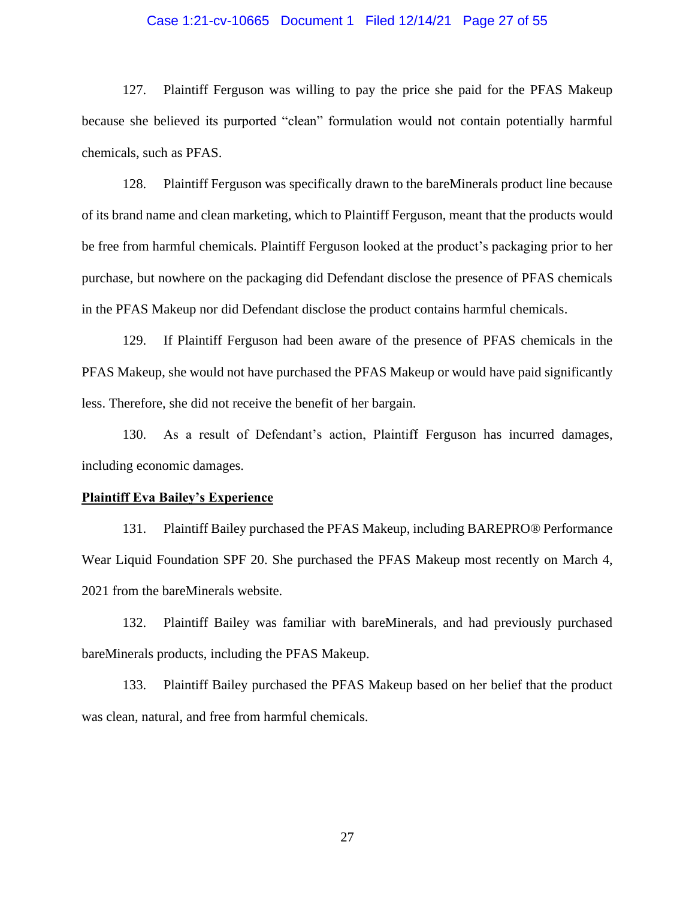#### Case 1:21-cv-10665 Document 1 Filed 12/14/21 Page 27 of 55

127. Plaintiff Ferguson was willing to pay the price she paid for the PFAS Makeup because she believed its purported "clean" formulation would not contain potentially harmful chemicals, such as PFAS.

128. Plaintiff Ferguson was specifically drawn to the bareMinerals product line because of its brand name and clean marketing, which to Plaintiff Ferguson, meant that the products would be free from harmful chemicals. Plaintiff Ferguson looked at the product's packaging prior to her purchase, but nowhere on the packaging did Defendant disclose the presence of PFAS chemicals in the PFAS Makeup nor did Defendant disclose the product contains harmful chemicals.

129. If Plaintiff Ferguson had been aware of the presence of PFAS chemicals in the PFAS Makeup, she would not have purchased the PFAS Makeup or would have paid significantly less. Therefore, she did not receive the benefit of her bargain.

130. As a result of Defendant's action, Plaintiff Ferguson has incurred damages, including economic damages.

#### **Plaintiff Eva Bailey's Experience**

131. Plaintiff Bailey purchased the PFAS Makeup, including BAREPRO® Performance Wear Liquid Foundation SPF 20. She purchased the PFAS Makeup most recently on March 4, 2021 from the bareMinerals website.

132. Plaintiff Bailey was familiar with bareMinerals, and had previously purchased bareMinerals products, including the PFAS Makeup.

133. Plaintiff Bailey purchased the PFAS Makeup based on her belief that the product was clean, natural, and free from harmful chemicals.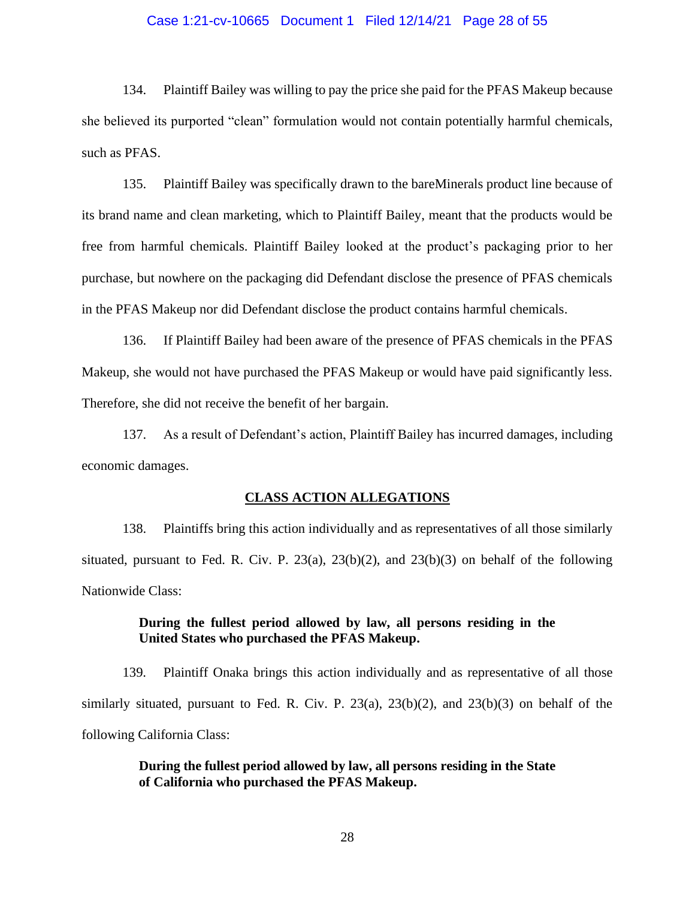#### Case 1:21-cv-10665 Document 1 Filed 12/14/21 Page 28 of 55

134. Plaintiff Bailey was willing to pay the price she paid for the PFAS Makeup because she believed its purported "clean" formulation would not contain potentially harmful chemicals, such as PFAS.

135. Plaintiff Bailey was specifically drawn to the bareMinerals product line because of its brand name and clean marketing, which to Plaintiff Bailey, meant that the products would be free from harmful chemicals. Plaintiff Bailey looked at the product's packaging prior to her purchase, but nowhere on the packaging did Defendant disclose the presence of PFAS chemicals in the PFAS Makeup nor did Defendant disclose the product contains harmful chemicals.

136. If Plaintiff Bailey had been aware of the presence of PFAS chemicals in the PFAS Makeup, she would not have purchased the PFAS Makeup or would have paid significantly less. Therefore, she did not receive the benefit of her bargain.

137. As a result of Defendant's action, Plaintiff Bailey has incurred damages, including economic damages.

#### **CLASS ACTION ALLEGATIONS**

138. Plaintiffs bring this action individually and as representatives of all those similarly situated, pursuant to Fed. R. Civ. P.  $23(a)$ ,  $23(b)(2)$ , and  $23(b)(3)$  on behalf of the following Nationwide Class:

### **During the fullest period allowed by law, all persons residing in the United States who purchased the PFAS Makeup.**

139. Plaintiff Onaka brings this action individually and as representative of all those similarly situated, pursuant to Fed. R. Civ. P.  $23(a)$ ,  $23(b)(2)$ , and  $23(b)(3)$  on behalf of the following California Class:

> **During the fullest period allowed by law, all persons residing in the State of California who purchased the PFAS Makeup.**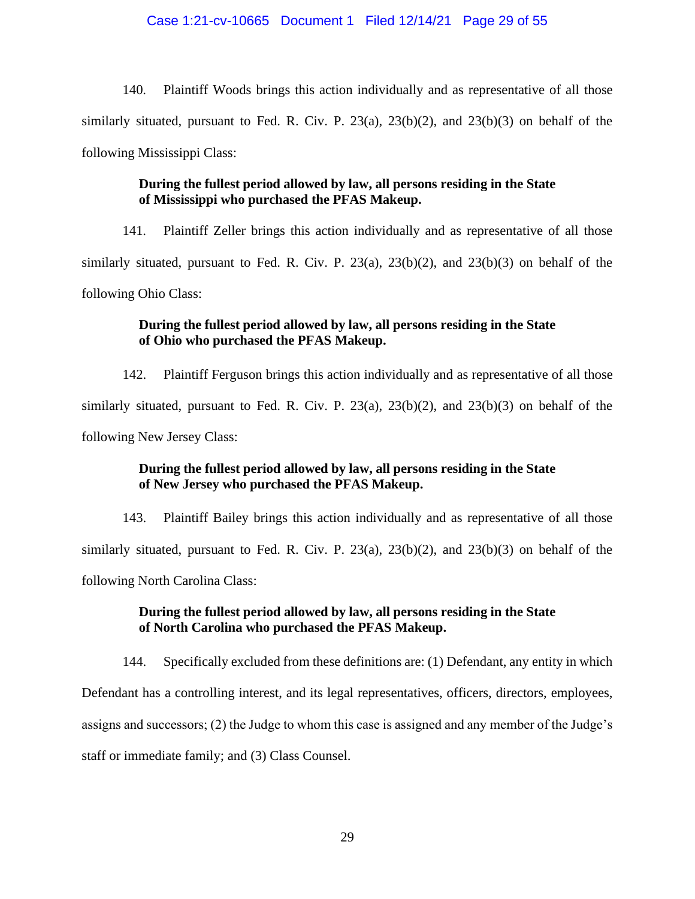140. Plaintiff Woods brings this action individually and as representative of all those similarly situated, pursuant to Fed. R. Civ. P.  $23(a)$ ,  $23(b)(2)$ , and  $23(b)(3)$  on behalf of the following Mississippi Class:

## **During the fullest period allowed by law, all persons residing in the State of Mississippi who purchased the PFAS Makeup.**

141. Plaintiff Zeller brings this action individually and as representative of all those similarly situated, pursuant to Fed. R. Civ. P.  $23(a)$ ,  $23(b)(2)$ , and  $23(b)(3)$  on behalf of the following Ohio Class:

## **During the fullest period allowed by law, all persons residing in the State of Ohio who purchased the PFAS Makeup.**

142. Plaintiff Ferguson brings this action individually and as representative of all those similarly situated, pursuant to Fed. R. Civ. P.  $23(a)$ ,  $23(b)(2)$ , and  $23(b)(3)$  on behalf of the following New Jersey Class:

## **During the fullest period allowed by law, all persons residing in the State of New Jersey who purchased the PFAS Makeup.**

143. Plaintiff Bailey brings this action individually and as representative of all those similarly situated, pursuant to Fed. R. Civ. P.  $23(a)$ ,  $23(b)(2)$ , and  $23(b)(3)$  on behalf of the following North Carolina Class:

## **During the fullest period allowed by law, all persons residing in the State of North Carolina who purchased the PFAS Makeup.**

144. Specifically excluded from these definitions are: (1) Defendant, any entity in which Defendant has a controlling interest, and its legal representatives, officers, directors, employees, assigns and successors; (2) the Judge to whom this case is assigned and any member of the Judge's staff or immediate family; and (3) Class Counsel.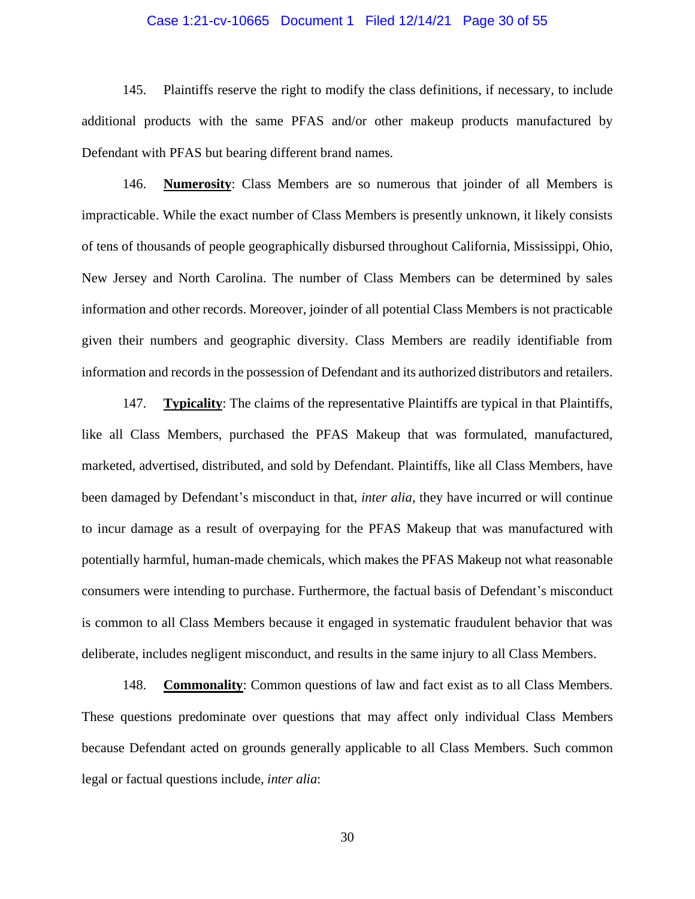#### Case 1:21-cv-10665 Document 1 Filed 12/14/21 Page 30 of 55

145. Plaintiffs reserve the right to modify the class definitions, if necessary, to include additional products with the same PFAS and/or other makeup products manufactured by Defendant with PFAS but bearing different brand names.

146. **Numerosity**: Class Members are so numerous that joinder of all Members is impracticable. While the exact number of Class Members is presently unknown, it likely consists of tens of thousands of people geographically disbursed throughout California, Mississippi, Ohio, New Jersey and North Carolina. The number of Class Members can be determined by sales information and other records. Moreover, joinder of all potential Class Members is not practicable given their numbers and geographic diversity. Class Members are readily identifiable from information and records in the possession of Defendant and its authorized distributors and retailers.

147. **Typicality**: The claims of the representative Plaintiffs are typical in that Plaintiffs, like all Class Members, purchased the PFAS Makeup that was formulated, manufactured, marketed, advertised, distributed, and sold by Defendant. Plaintiffs, like all Class Members, have been damaged by Defendant's misconduct in that, *inter alia*, they have incurred or will continue to incur damage as a result of overpaying for the PFAS Makeup that was manufactured with potentially harmful, human-made chemicals, which makes the PFAS Makeup not what reasonable consumers were intending to purchase. Furthermore, the factual basis of Defendant's misconduct is common to all Class Members because it engaged in systematic fraudulent behavior that was deliberate, includes negligent misconduct, and results in the same injury to all Class Members.

148. **Commonality**: Common questions of law and fact exist as to all Class Members. These questions predominate over questions that may affect only individual Class Members because Defendant acted on grounds generally applicable to all Class Members. Such common legal or factual questions include, *inter alia*: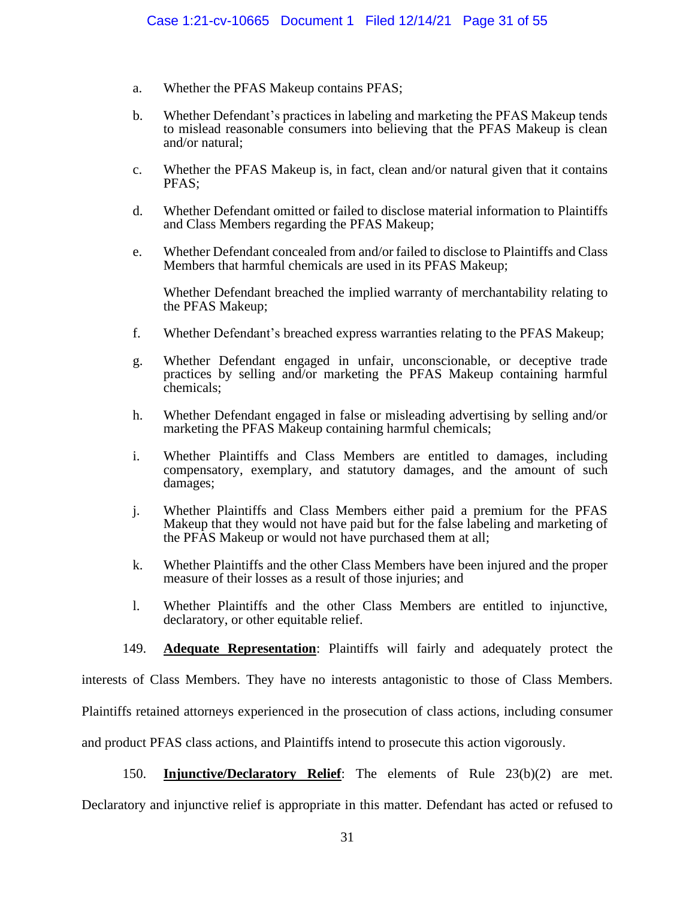- a. Whether the PFAS Makeup contains PFAS;
- b. Whether Defendant's practices in labeling and marketing the PFAS Makeup tends to mislead reasonable consumers into believing that the PFAS Makeup is clean and/or natural;
- c. Whether the PFAS Makeup is, in fact, clean and/or natural given that it contains PFAS;
- d. Whether Defendant omitted or failed to disclose material information to Plaintiffs and Class Members regarding the PFAS Makeup;
- e. Whether Defendant concealed from and/or failed to disclose to Plaintiffs and Class Members that harmful chemicals are used in its PFAS Makeup;

Whether Defendant breached the implied warranty of merchantability relating to the PFAS Makeup;

- f. Whether Defendant's breached express warranties relating to the PFAS Makeup;
- g. Whether Defendant engaged in unfair, unconscionable, or deceptive trade practices by selling and/or marketing the PFAS Makeup containing harmful chemicals;
- h. Whether Defendant engaged in false or misleading advertising by selling and/or marketing the PFAS Makeup containing harmful chemicals;
- i. Whether Plaintiffs and Class Members are entitled to damages, including compensatory, exemplary, and statutory damages, and the amount of such damages;
- j. Whether Plaintiffs and Class Members either paid a premium for the PFAS Makeup that they would not have paid but for the false labeling and marketing of the PFAS Makeup or would not have purchased them at all;
- k. Whether Plaintiffs and the other Class Members have been injured and the proper measure of their losses as a result of those injuries; and
- l. Whether Plaintiffs and the other Class Members are entitled to injunctive, declaratory, or other equitable relief.
- 149. **Adequate Representation**: Plaintiffs will fairly and adequately protect the

interests of Class Members. They have no interests antagonistic to those of Class Members.

Plaintiffs retained attorneys experienced in the prosecution of class actions, including consumer

and product PFAS class actions, and Plaintiffs intend to prosecute this action vigorously.

150. **Injunctive/Declaratory Relief**: The elements of Rule 23(b)(2) are met.

Declaratory and injunctive relief is appropriate in this matter. Defendant has acted or refused to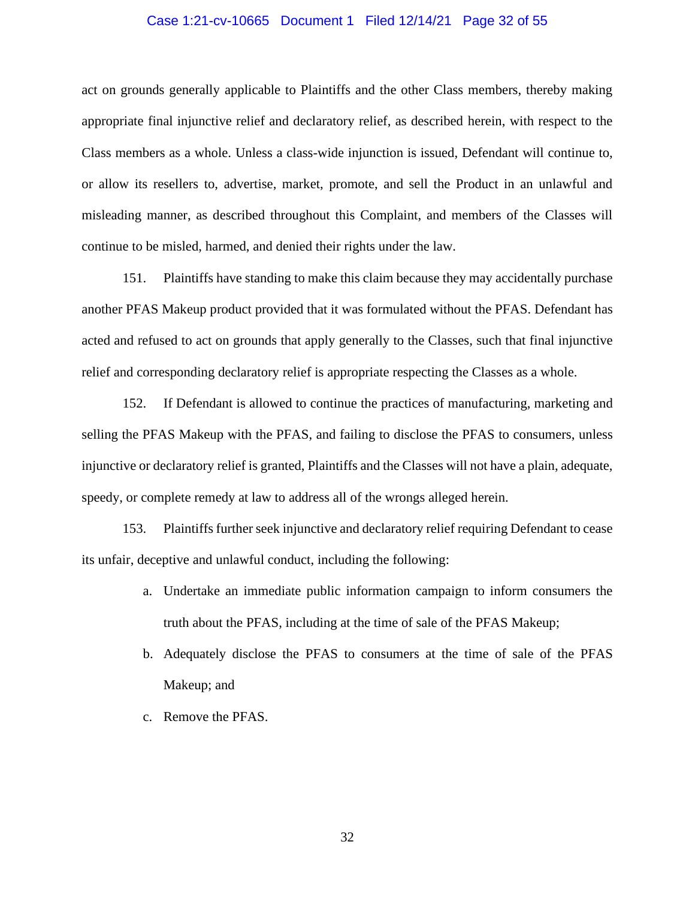#### Case 1:21-cv-10665 Document 1 Filed 12/14/21 Page 32 of 55

act on grounds generally applicable to Plaintiffs and the other Class members, thereby making appropriate final injunctive relief and declaratory relief, as described herein, with respect to the Class members as a whole. Unless a class-wide injunction is issued, Defendant will continue to, or allow its resellers to, advertise, market, promote, and sell the Product in an unlawful and misleading manner, as described throughout this Complaint, and members of the Classes will continue to be misled, harmed, and denied their rights under the law.

151. Plaintiffs have standing to make this claim because they may accidentally purchase another PFAS Makeup product provided that it was formulated without the PFAS. Defendant has acted and refused to act on grounds that apply generally to the Classes, such that final injunctive relief and corresponding declaratory relief is appropriate respecting the Classes as a whole.

152. If Defendant is allowed to continue the practices of manufacturing, marketing and selling the PFAS Makeup with the PFAS, and failing to disclose the PFAS to consumers, unless injunctive or declaratory relief is granted, Plaintiffs and the Classes will not have a plain, adequate, speedy, or complete remedy at law to address all of the wrongs alleged herein.

153. Plaintiffs further seek injunctive and declaratory relief requiring Defendant to cease its unfair, deceptive and unlawful conduct, including the following:

- a. Undertake an immediate public information campaign to inform consumers the truth about the PFAS, including at the time of sale of the PFAS Makeup;
- b. Adequately disclose the PFAS to consumers at the time of sale of the PFAS Makeup; and
- c. Remove the PFAS.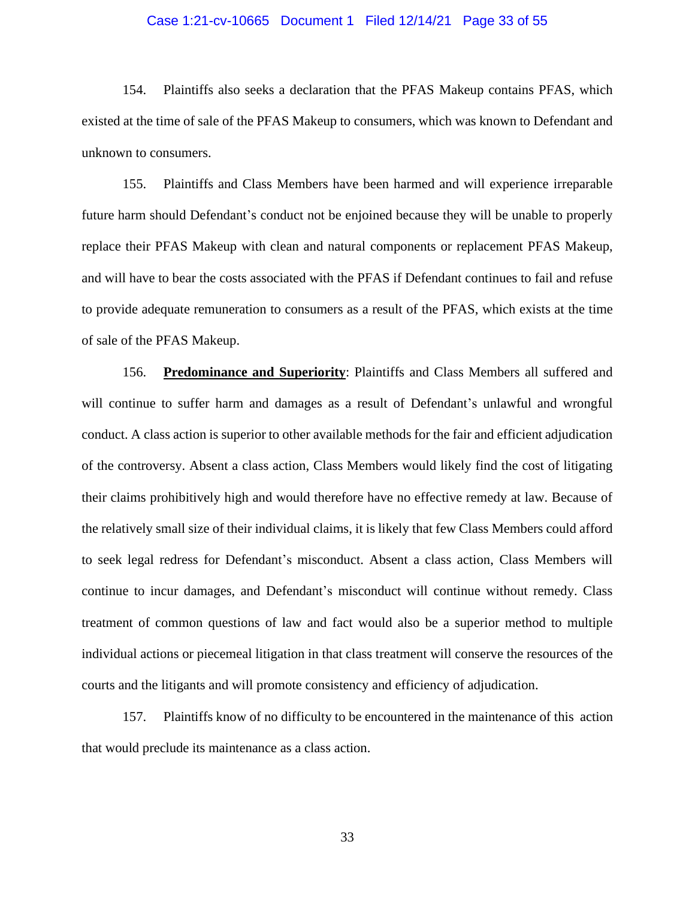#### Case 1:21-cv-10665 Document 1 Filed 12/14/21 Page 33 of 55

154. Plaintiffs also seeks a declaration that the PFAS Makeup contains PFAS, which existed at the time of sale of the PFAS Makeup to consumers, which was known to Defendant and unknown to consumers.

155. Plaintiffs and Class Members have been harmed and will experience irreparable future harm should Defendant's conduct not be enjoined because they will be unable to properly replace their PFAS Makeup with clean and natural components or replacement PFAS Makeup, and will have to bear the costs associated with the PFAS if Defendant continues to fail and refuse to provide adequate remuneration to consumers as a result of the PFAS, which exists at the time of sale of the PFAS Makeup.

156. **Predominance and Superiority**: Plaintiffs and Class Members all suffered and will continue to suffer harm and damages as a result of Defendant's unlawful and wrongful conduct. A class action is superior to other available methods for the fair and efficient adjudication of the controversy. Absent a class action, Class Members would likely find the cost of litigating their claims prohibitively high and would therefore have no effective remedy at law. Because of the relatively small size of their individual claims, it is likely that few Class Members could afford to seek legal redress for Defendant's misconduct. Absent a class action, Class Members will continue to incur damages, and Defendant's misconduct will continue without remedy. Class treatment of common questions of law and fact would also be a superior method to multiple individual actions or piecemeal litigation in that class treatment will conserve the resources of the courts and the litigants and will promote consistency and efficiency of adjudication.

157. Plaintiffs know of no difficulty to be encountered in the maintenance of this action that would preclude its maintenance as a class action.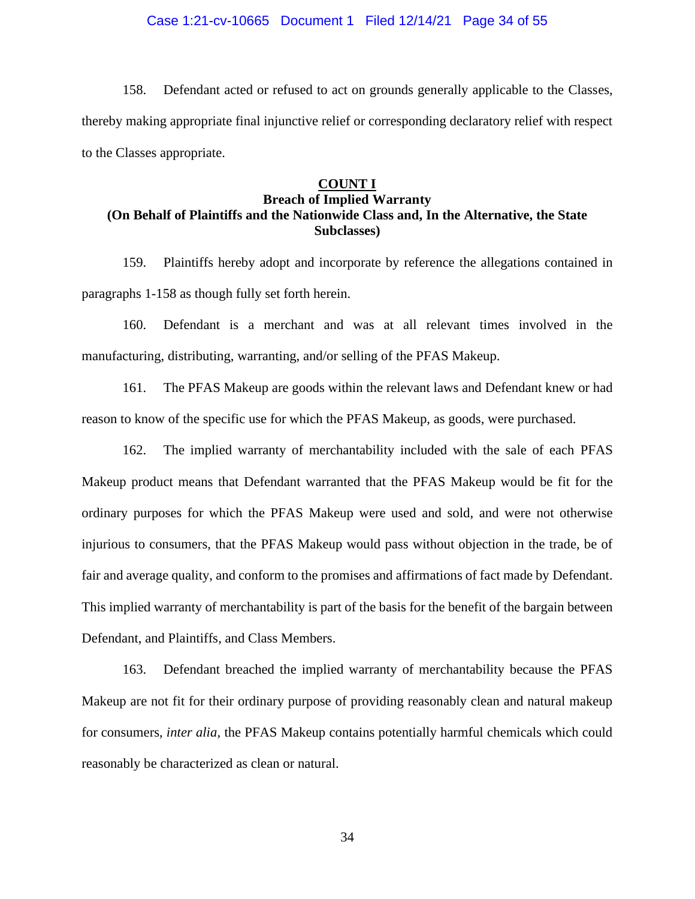#### Case 1:21-cv-10665 Document 1 Filed 12/14/21 Page 34 of 55

158. Defendant acted or refused to act on grounds generally applicable to the Classes, thereby making appropriate final injunctive relief or corresponding declaratory relief with respect to the Classes appropriate.

#### **COUNT I**

## **Breach of Implied Warranty (On Behalf of Plaintiffs and the Nationwide Class and, In the Alternative, the State Subclasses)**

159. Plaintiffs hereby adopt and incorporate by reference the allegations contained in paragraphs 1-158 as though fully set forth herein.

160. Defendant is a merchant and was at all relevant times involved in the manufacturing, distributing, warranting, and/or selling of the PFAS Makeup.

161. The PFAS Makeup are goods within the relevant laws and Defendant knew or had reason to know of the specific use for which the PFAS Makeup, as goods, were purchased.

162. The implied warranty of merchantability included with the sale of each PFAS Makeup product means that Defendant warranted that the PFAS Makeup would be fit for the ordinary purposes for which the PFAS Makeup were used and sold, and were not otherwise injurious to consumers, that the PFAS Makeup would pass without objection in the trade, be of fair and average quality, and conform to the promises and affirmations of fact made by Defendant. This implied warranty of merchantability is part of the basis for the benefit of the bargain between Defendant, and Plaintiffs, and Class Members.

163. Defendant breached the implied warranty of merchantability because the PFAS Makeup are not fit for their ordinary purpose of providing reasonably clean and natural makeup for consumers, *inter alia*, the PFAS Makeup contains potentially harmful chemicals which could reasonably be characterized as clean or natural.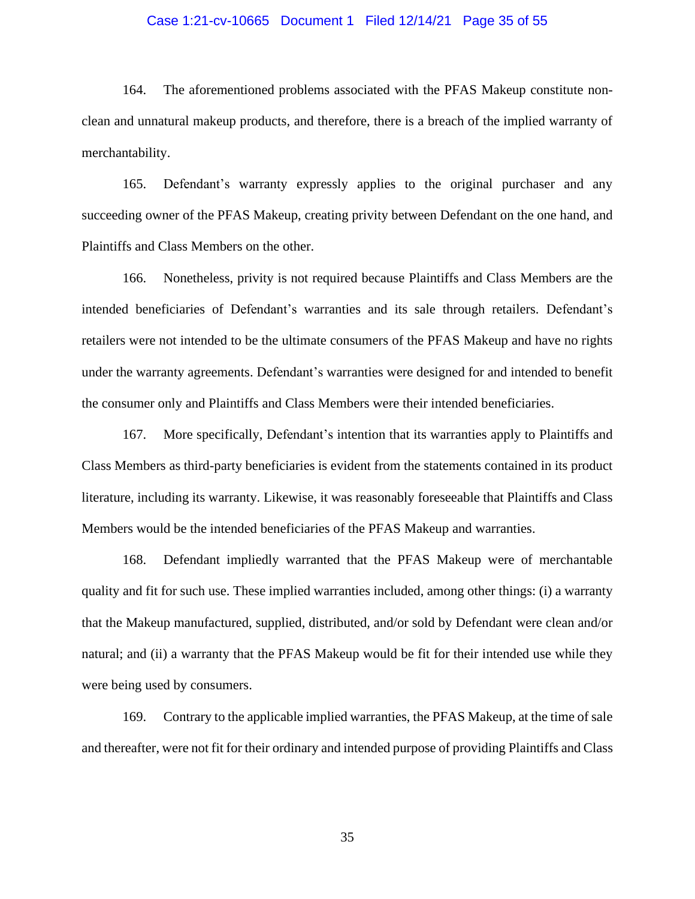#### Case 1:21-cv-10665 Document 1 Filed 12/14/21 Page 35 of 55

164. The aforementioned problems associated with the PFAS Makeup constitute nonclean and unnatural makeup products, and therefore, there is a breach of the implied warranty of merchantability.

165. Defendant's warranty expressly applies to the original purchaser and any succeeding owner of the PFAS Makeup, creating privity between Defendant on the one hand, and Plaintiffs and Class Members on the other.

166. Nonetheless, privity is not required because Plaintiffs and Class Members are the intended beneficiaries of Defendant's warranties and its sale through retailers. Defendant's retailers were not intended to be the ultimate consumers of the PFAS Makeup and have no rights under the warranty agreements. Defendant's warranties were designed for and intended to benefit the consumer only and Plaintiffs and Class Members were their intended beneficiaries.

167. More specifically, Defendant's intention that its warranties apply to Plaintiffs and Class Members as third-party beneficiaries is evident from the statements contained in its product literature, including its warranty. Likewise, it was reasonably foreseeable that Plaintiffs and Class Members would be the intended beneficiaries of the PFAS Makeup and warranties.

168. Defendant impliedly warranted that the PFAS Makeup were of merchantable quality and fit for such use. These implied warranties included, among other things: (i) a warranty that the Makeup manufactured, supplied, distributed, and/or sold by Defendant were clean and/or natural; and (ii) a warranty that the PFAS Makeup would be fit for their intended use while they were being used by consumers.

169. Contrary to the applicable implied warranties, the PFAS Makeup, at the time of sale and thereafter, were not fit for their ordinary and intended purpose of providing Plaintiffs and Class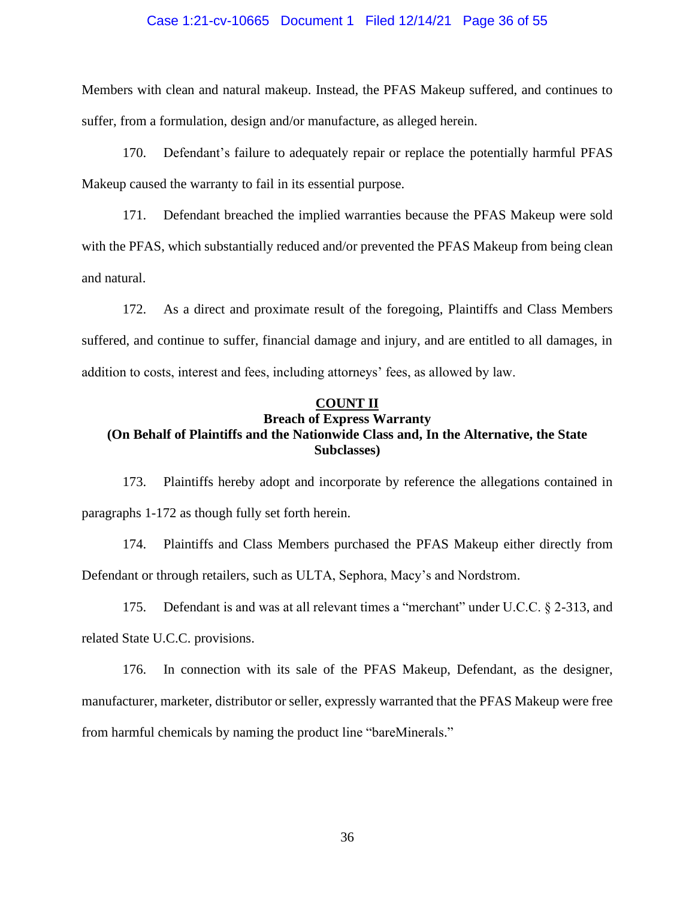#### Case 1:21-cv-10665 Document 1 Filed 12/14/21 Page 36 of 55

Members with clean and natural makeup. Instead, the PFAS Makeup suffered, and continues to suffer, from a formulation, design and/or manufacture, as alleged herein.

170. Defendant's failure to adequately repair or replace the potentially harmful PFAS Makeup caused the warranty to fail in its essential purpose.

171. Defendant breached the implied warranties because the PFAS Makeup were sold with the PFAS, which substantially reduced and/or prevented the PFAS Makeup from being clean and natural.

172. As a direct and proximate result of the foregoing, Plaintiffs and Class Members suffered, and continue to suffer, financial damage and injury, and are entitled to all damages, in addition to costs, interest and fees, including attorneys' fees, as allowed by law.

### **COUNT II**

### **Breach of Express Warranty (On Behalf of Plaintiffs and the Nationwide Class and, In the Alternative, the State Subclasses)**

173. Plaintiffs hereby adopt and incorporate by reference the allegations contained in paragraphs 1-172 as though fully set forth herein.

174. Plaintiffs and Class Members purchased the PFAS Makeup either directly from Defendant or through retailers, such as ULTA, Sephora, Macy's and Nordstrom.

175. Defendant is and was at all relevant times a "merchant" under U.C.C. § 2-313, and related State U.C.C. provisions.

176. In connection with its sale of the PFAS Makeup, Defendant, as the designer, manufacturer, marketer, distributor or seller, expressly warranted that the PFAS Makeup were free from harmful chemicals by naming the product line "bareMinerals."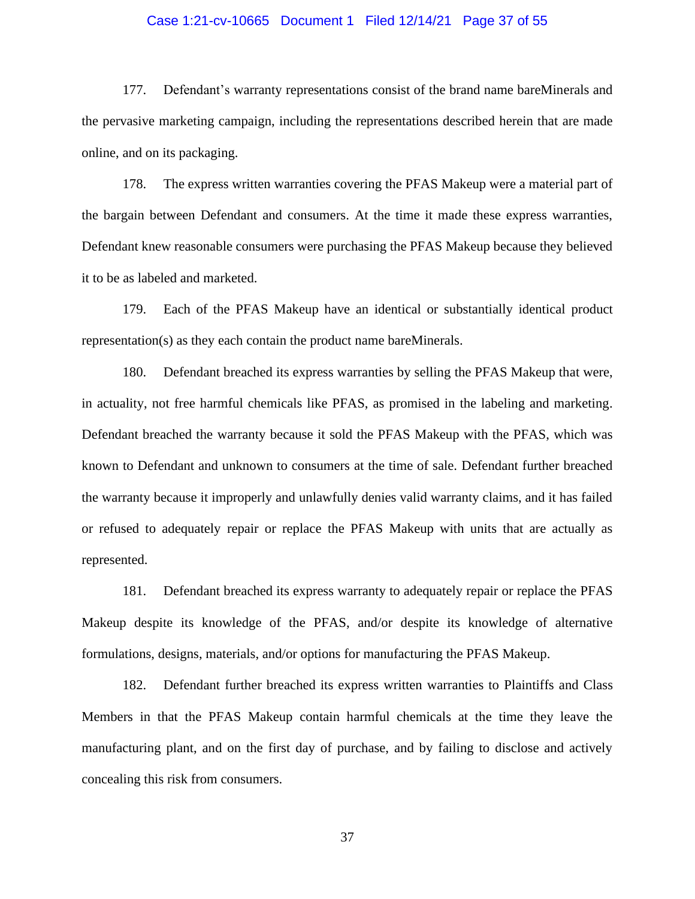#### Case 1:21-cv-10665 Document 1 Filed 12/14/21 Page 37 of 55

177. Defendant's warranty representations consist of the brand name bareMinerals and the pervasive marketing campaign, including the representations described herein that are made online, and on its packaging.

178. The express written warranties covering the PFAS Makeup were a material part of the bargain between Defendant and consumers. At the time it made these express warranties, Defendant knew reasonable consumers were purchasing the PFAS Makeup because they believed it to be as labeled and marketed.

179. Each of the PFAS Makeup have an identical or substantially identical product representation(s) as they each contain the product name bareMinerals.

180. Defendant breached its express warranties by selling the PFAS Makeup that were, in actuality, not free harmful chemicals like PFAS, as promised in the labeling and marketing. Defendant breached the warranty because it sold the PFAS Makeup with the PFAS, which was known to Defendant and unknown to consumers at the time of sale. Defendant further breached the warranty because it improperly and unlawfully denies valid warranty claims, and it has failed or refused to adequately repair or replace the PFAS Makeup with units that are actually as represented.

181. Defendant breached its express warranty to adequately repair or replace the PFAS Makeup despite its knowledge of the PFAS, and/or despite its knowledge of alternative formulations, designs, materials, and/or options for manufacturing the PFAS Makeup.

182. Defendant further breached its express written warranties to Plaintiffs and Class Members in that the PFAS Makeup contain harmful chemicals at the time they leave the manufacturing plant, and on the first day of purchase, and by failing to disclose and actively concealing this risk from consumers.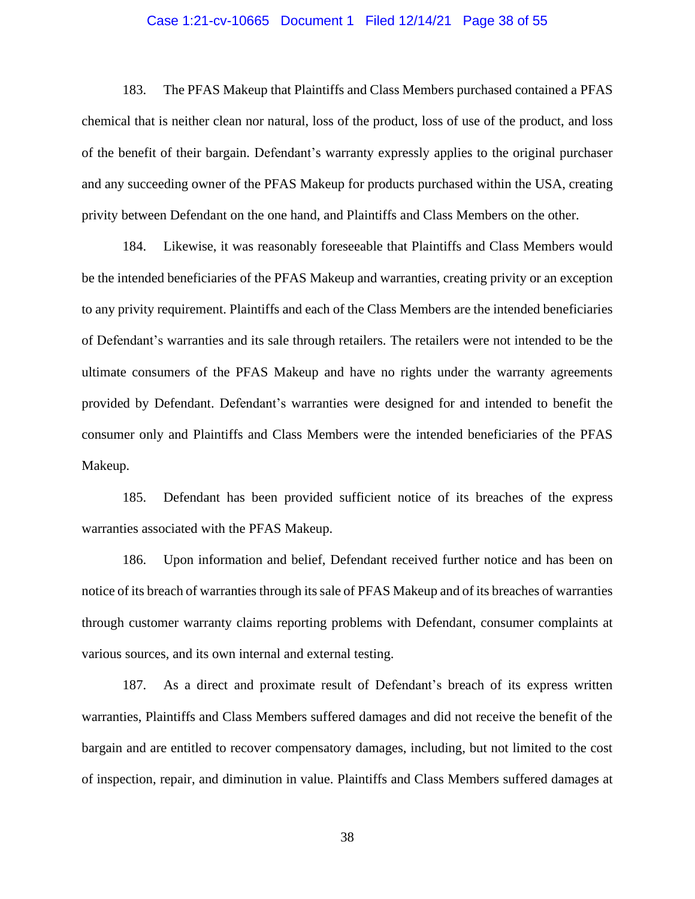#### Case 1:21-cv-10665 Document 1 Filed 12/14/21 Page 38 of 55

183. The PFAS Makeup that Plaintiffs and Class Members purchased contained a PFAS chemical that is neither clean nor natural, loss of the product, loss of use of the product, and loss of the benefit of their bargain. Defendant's warranty expressly applies to the original purchaser and any succeeding owner of the PFAS Makeup for products purchased within the USA, creating privity between Defendant on the one hand, and Plaintiffs and Class Members on the other.

184. Likewise, it was reasonably foreseeable that Plaintiffs and Class Members would be the intended beneficiaries of the PFAS Makeup and warranties, creating privity or an exception to any privity requirement. Plaintiffs and each of the Class Members are the intended beneficiaries of Defendant's warranties and its sale through retailers. The retailers were not intended to be the ultimate consumers of the PFAS Makeup and have no rights under the warranty agreements provided by Defendant. Defendant's warranties were designed for and intended to benefit the consumer only and Plaintiffs and Class Members were the intended beneficiaries of the PFAS Makeup.

185. Defendant has been provided sufficient notice of its breaches of the express warranties associated with the PFAS Makeup.

186. Upon information and belief, Defendant received further notice and has been on notice of its breach of warranties through its sale of PFAS Makeup and of its breaches of warranties through customer warranty claims reporting problems with Defendant, consumer complaints at various sources, and its own internal and external testing.

187. As a direct and proximate result of Defendant's breach of its express written warranties, Plaintiffs and Class Members suffered damages and did not receive the benefit of the bargain and are entitled to recover compensatory damages, including, but not limited to the cost of inspection, repair, and diminution in value. Plaintiffs and Class Members suffered damages at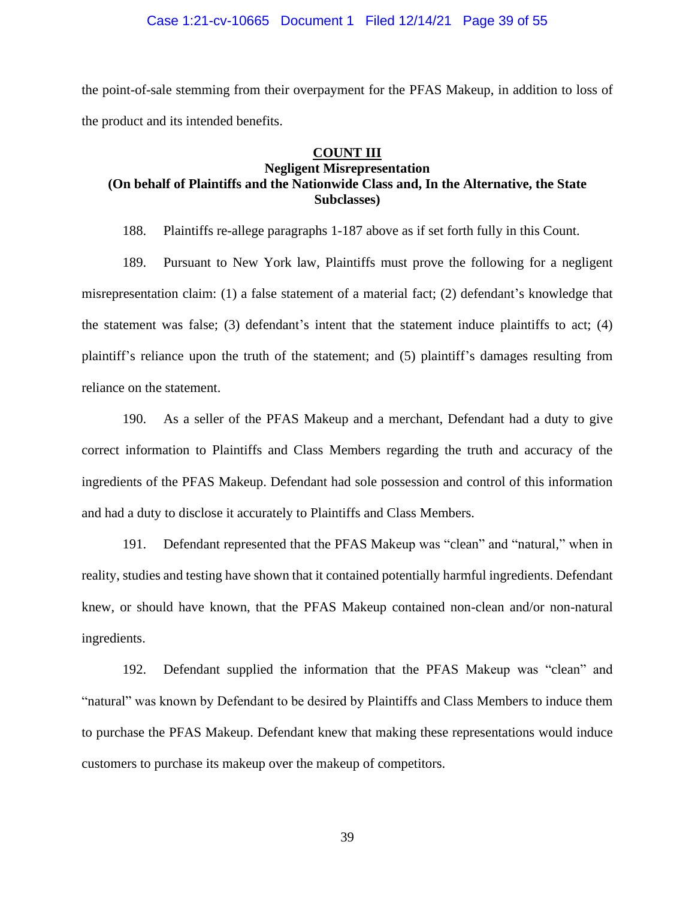the point-of-sale stemming from their overpayment for the PFAS Makeup, in addition to loss of the product and its intended benefits.

### **COUNT III**

## **Negligent Misrepresentation (On behalf of Plaintiffs and the Nationwide Class and, In the Alternative, the State Subclasses)**

188. Plaintiffs re-allege paragraphs 1-187 above as if set forth fully in this Count.

189. Pursuant to New York law, Plaintiffs must prove the following for a negligent misrepresentation claim: (1) a false statement of a material fact; (2) defendant's knowledge that the statement was false; (3) defendant's intent that the statement induce plaintiffs to act; (4) plaintiff's reliance upon the truth of the statement; and (5) plaintiff's damages resulting from reliance on the statement.

190. As a seller of the PFAS Makeup and a merchant, Defendant had a duty to give correct information to Plaintiffs and Class Members regarding the truth and accuracy of the ingredients of the PFAS Makeup. Defendant had sole possession and control of this information and had a duty to disclose it accurately to Plaintiffs and Class Members.

191. Defendant represented that the PFAS Makeup was "clean" and "natural," when in reality, studies and testing have shown that it contained potentially harmful ingredients. Defendant knew, or should have known, that the PFAS Makeup contained non-clean and/or non-natural ingredients.

192. Defendant supplied the information that the PFAS Makeup was "clean" and "natural" was known by Defendant to be desired by Plaintiffs and Class Members to induce them to purchase the PFAS Makeup. Defendant knew that making these representations would induce customers to purchase its makeup over the makeup of competitors.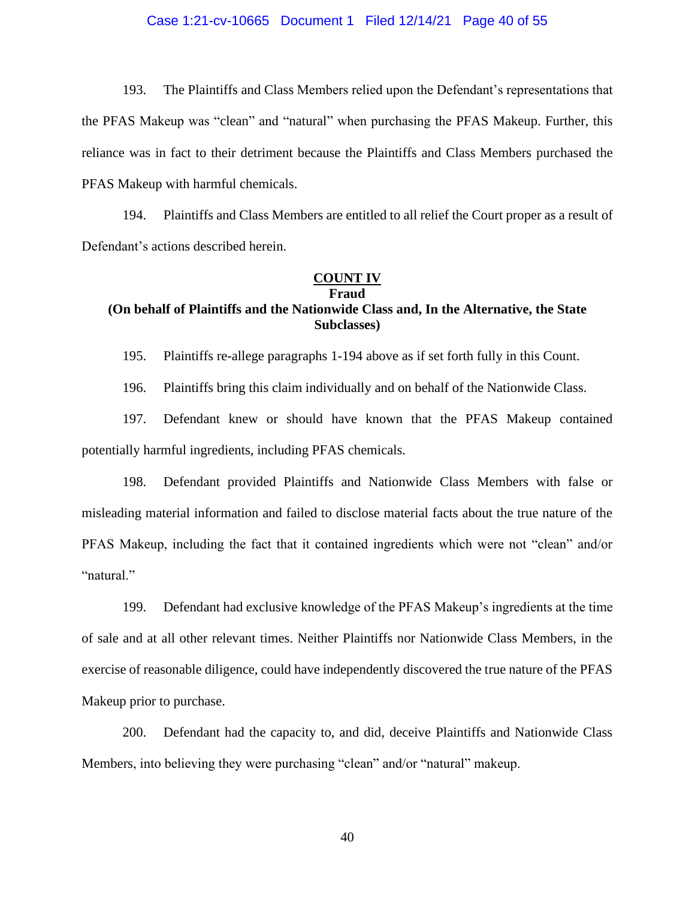#### Case 1:21-cv-10665 Document 1 Filed 12/14/21 Page 40 of 55

193. The Plaintiffs and Class Members relied upon the Defendant's representations that the PFAS Makeup was "clean" and "natural" when purchasing the PFAS Makeup. Further, this reliance was in fact to their detriment because the Plaintiffs and Class Members purchased the PFAS Makeup with harmful chemicals.

194. Plaintiffs and Class Members are entitled to all relief the Court proper as a result of Defendant's actions described herein.

#### **COUNT IV Fraud**

# **(On behalf of Plaintiffs and the Nationwide Class and, In the Alternative, the State Subclasses)**

195. Plaintiffs re-allege paragraphs 1-194 above as if set forth fully in this Count.

196. Plaintiffs bring this claim individually and on behalf of the Nationwide Class.

197. Defendant knew or should have known that the PFAS Makeup contained potentially harmful ingredients, including PFAS chemicals.

198. Defendant provided Plaintiffs and Nationwide Class Members with false or misleading material information and failed to disclose material facts about the true nature of the PFAS Makeup, including the fact that it contained ingredients which were not "clean" and/or "natural."

199. Defendant had exclusive knowledge of the PFAS Makeup's ingredients at the time of sale and at all other relevant times. Neither Plaintiffs nor Nationwide Class Members, in the exercise of reasonable diligence, could have independently discovered the true nature of the PFAS Makeup prior to purchase.

200. Defendant had the capacity to, and did, deceive Plaintiffs and Nationwide Class Members, into believing they were purchasing "clean" and/or "natural" makeup.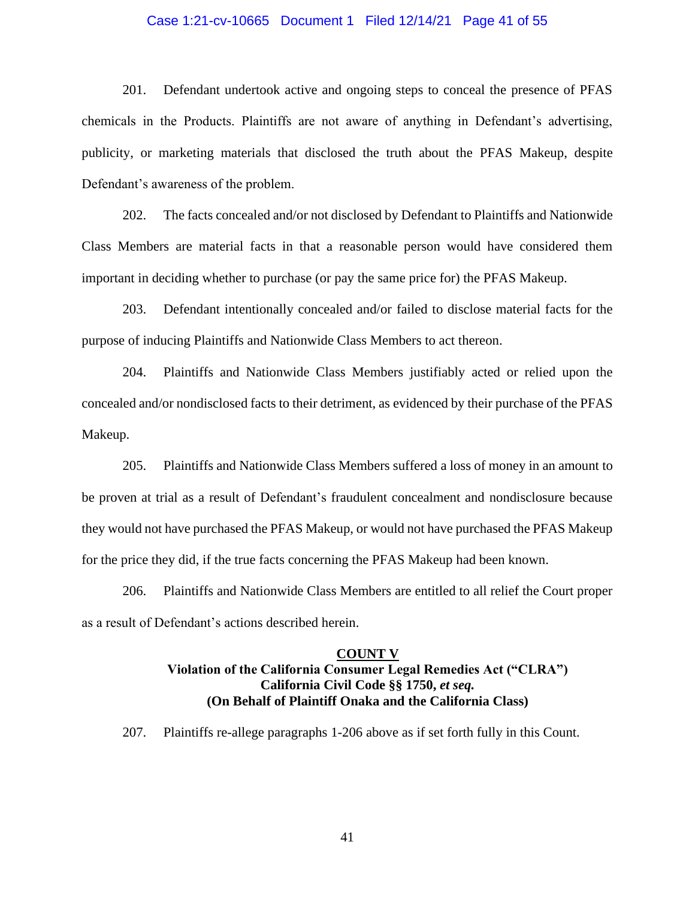#### Case 1:21-cv-10665 Document 1 Filed 12/14/21 Page 41 of 55

201. Defendant undertook active and ongoing steps to conceal the presence of PFAS chemicals in the Products. Plaintiffs are not aware of anything in Defendant's advertising, publicity, or marketing materials that disclosed the truth about the PFAS Makeup, despite Defendant's awareness of the problem.

202. The facts concealed and/or not disclosed by Defendant to Plaintiffs and Nationwide Class Members are material facts in that a reasonable person would have considered them important in deciding whether to purchase (or pay the same price for) the PFAS Makeup.

203. Defendant intentionally concealed and/or failed to disclose material facts for the purpose of inducing Plaintiffs and Nationwide Class Members to act thereon.

204. Plaintiffs and Nationwide Class Members justifiably acted or relied upon the concealed and/or nondisclosed facts to their detriment, as evidenced by their purchase of the PFAS Makeup.

205. Plaintiffs and Nationwide Class Members suffered a loss of money in an amount to be proven at trial as a result of Defendant's fraudulent concealment and nondisclosure because they would not have purchased the PFAS Makeup, or would not have purchased the PFAS Makeup for the price they did, if the true facts concerning the PFAS Makeup had been known.

206. Plaintiffs and Nationwide Class Members are entitled to all relief the Court proper as a result of Defendant's actions described herein.

#### **COUNT V**

## **Violation of the California Consumer Legal Remedies Act ("CLRA") California Civil Code §§ 1750,** *et seq.* **(On Behalf of Plaintiff Onaka and the California Class)**

207. Plaintiffs re-allege paragraphs 1-206 above as if set forth fully in this Count.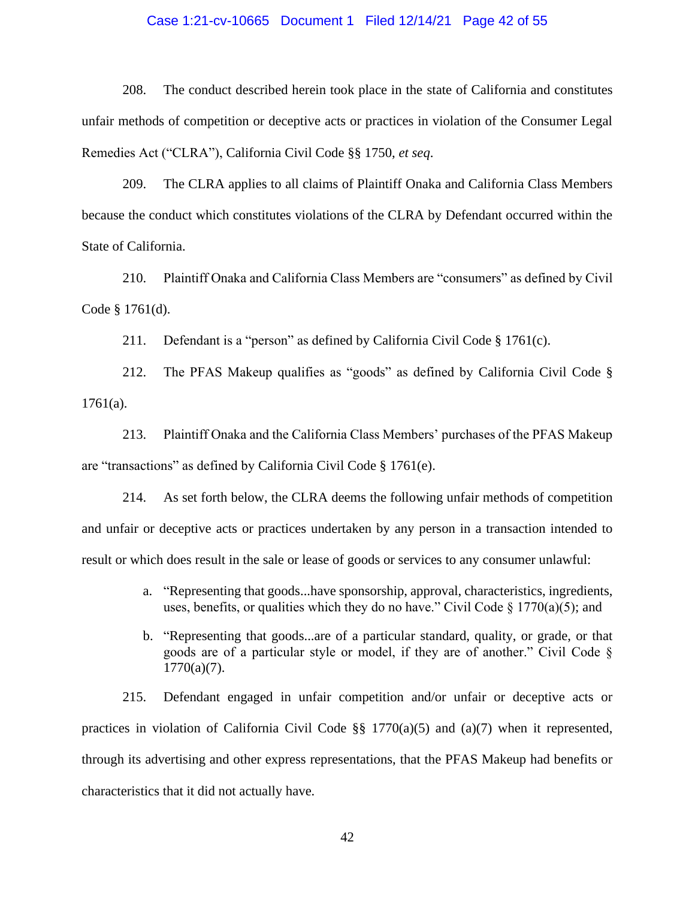#### Case 1:21-cv-10665 Document 1 Filed 12/14/21 Page 42 of 55

208. The conduct described herein took place in the state of California and constitutes unfair methods of competition or deceptive acts or practices in violation of the Consumer Legal Remedies Act ("CLRA"), California Civil Code §§ 1750, *et seq*.

209. The CLRA applies to all claims of Plaintiff Onaka and California Class Members because the conduct which constitutes violations of the CLRA by Defendant occurred within the State of California.

210. Plaintiff Onaka and California Class Members are "consumers" as defined by Civil Code § 1761(d).

211. Defendant is a "person" as defined by California Civil Code § 1761(c).

212. The PFAS Makeup qualifies as "goods" as defined by California Civil Code §  $1761(a)$ .

213. Plaintiff Onaka and the California Class Members' purchases of the PFAS Makeup are "transactions" as defined by California Civil Code § 1761(e).

214. As set forth below, the CLRA deems the following unfair methods of competition and unfair or deceptive acts or practices undertaken by any person in a transaction intended to result or which does result in the sale or lease of goods or services to any consumer unlawful:

- a. "Representing that goods...have sponsorship, approval, characteristics, ingredients, uses, benefits, or qualities which they do no have." Civil Code  $\S$  1770(a)(5); and
- b. "Representing that goods...are of a particular standard, quality, or grade, or that goods are of a particular style or model, if they are of another." Civil Code §  $1770(a)(7)$ .

215. Defendant engaged in unfair competition and/or unfair or deceptive acts or practices in violation of California Civil Code  $\S$  1770(a)(5) and (a)(7) when it represented, through its advertising and other express representations, that the PFAS Makeup had benefits or characteristics that it did not actually have.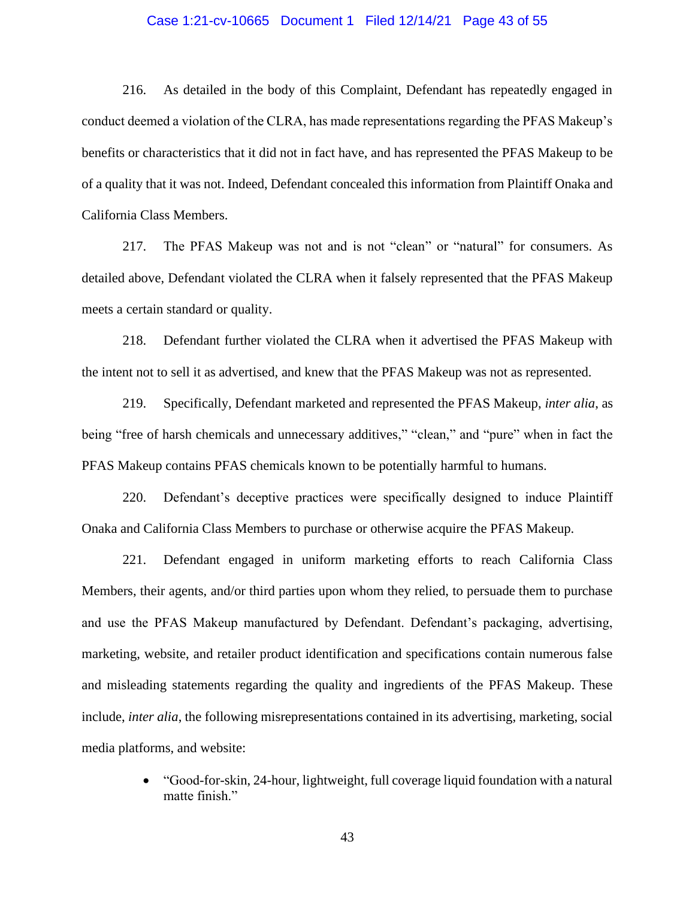#### Case 1:21-cv-10665 Document 1 Filed 12/14/21 Page 43 of 55

216. As detailed in the body of this Complaint, Defendant has repeatedly engaged in conduct deemed a violation of the CLRA, has made representations regarding the PFAS Makeup's benefits or characteristics that it did not in fact have, and has represented the PFAS Makeup to be of a quality that it was not. Indeed, Defendant concealed this information from Plaintiff Onaka and California Class Members.

217. The PFAS Makeup was not and is not "clean" or "natural" for consumers. As detailed above, Defendant violated the CLRA when it falsely represented that the PFAS Makeup meets a certain standard or quality.

218. Defendant further violated the CLRA when it advertised the PFAS Makeup with the intent not to sell it as advertised, and knew that the PFAS Makeup was not as represented.

219. Specifically, Defendant marketed and represented the PFAS Makeup, *inter alia*, as being "free of harsh chemicals and unnecessary additives," "clean," and "pure" when in fact the PFAS Makeup contains PFAS chemicals known to be potentially harmful to humans.

220. Defendant's deceptive practices were specifically designed to induce Plaintiff Onaka and California Class Members to purchase or otherwise acquire the PFAS Makeup.

221. Defendant engaged in uniform marketing efforts to reach California Class Members, their agents, and/or third parties upon whom they relied, to persuade them to purchase and use the PFAS Makeup manufactured by Defendant. Defendant's packaging, advertising, marketing, website, and retailer product identification and specifications contain numerous false and misleading statements regarding the quality and ingredients of the PFAS Makeup. These include, *inter alia*, the following misrepresentations contained in its advertising, marketing, social media platforms, and website:

> • "Good-for-skin, 24-hour, lightweight, full coverage liquid foundation with a natural matte finish."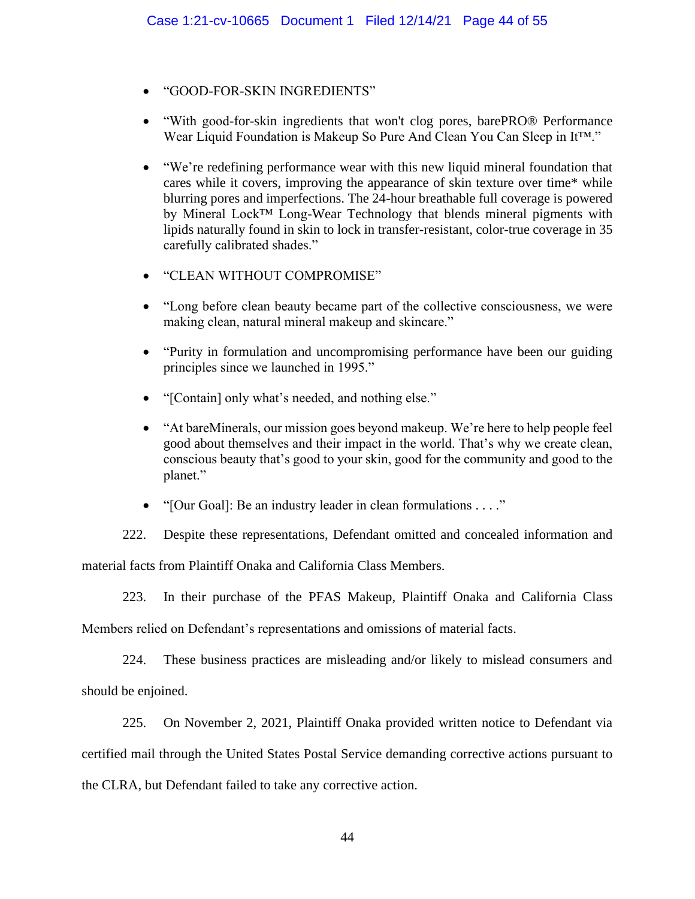- "GOOD-FOR-SKIN INGREDIENTS"
- "With good-for-skin ingredients that won't clog pores, barePRO® Performance Wear Liquid Foundation is Makeup So Pure And Clean You Can Sleep in It™."
- "We're redefining performance wear with this new liquid mineral foundation that cares while it covers, improving the appearance of skin texture over time\* while blurring pores and imperfections. The 24-hour breathable full coverage is powered by Mineral Lock™ Long-Wear Technology that blends mineral pigments with lipids naturally found in skin to lock in transfer-resistant, color-true coverage in 35 carefully calibrated shades."
- "CLEAN WITHOUT COMPROMISE"
- "Long before clean beauty became part of the collective consciousness, we were making clean, natural mineral makeup and skincare."
- "Purity in formulation and uncompromising performance have been our guiding principles since we launched in 1995."
- "[Contain] only what's needed, and nothing else."
- "At bareMinerals, our mission goes beyond makeup. We're here to help people feel good about themselves and their impact in the world. That's why we create clean, conscious beauty that's good to your skin, good for the community and good to the planet."
- "[Our Goal]: Be an industry leader in clean formulations . . . ."

222. Despite these representations, Defendant omitted and concealed information and

material facts from Plaintiff Onaka and California Class Members.

223. In their purchase of the PFAS Makeup, Plaintiff Onaka and California Class

Members relied on Defendant's representations and omissions of material facts.

224. These business practices are misleading and/or likely to mislead consumers and should be enjoined.

225. On November 2, 2021, Plaintiff Onaka provided written notice to Defendant via certified mail through the United States Postal Service demanding corrective actions pursuant to the CLRA, but Defendant failed to take any corrective action.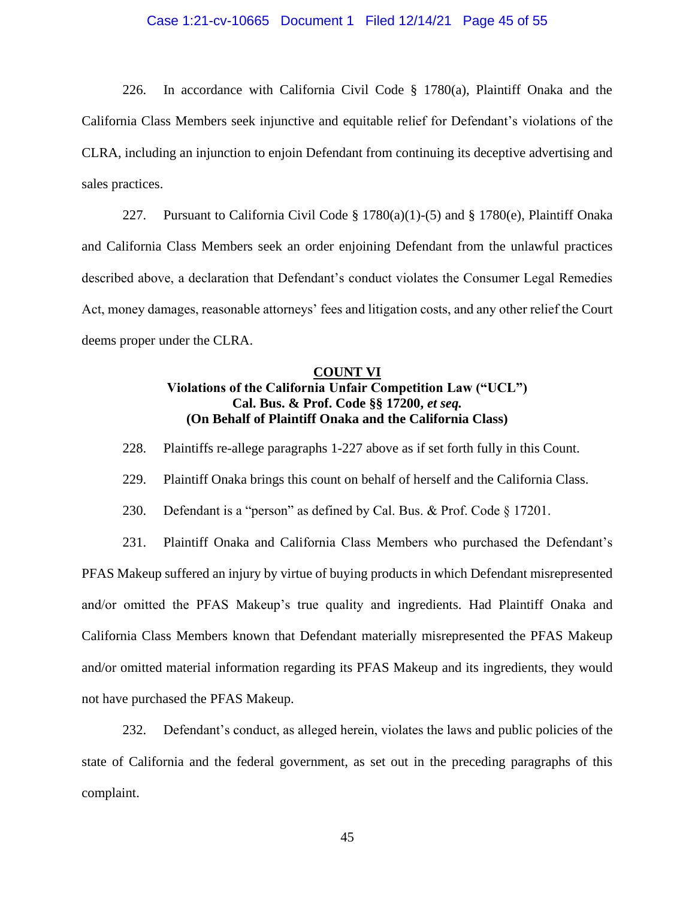#### Case 1:21-cv-10665 Document 1 Filed 12/14/21 Page 45 of 55

226. In accordance with California Civil Code § 1780(a), Plaintiff Onaka and the California Class Members seek injunctive and equitable relief for Defendant's violations of the CLRA, including an injunction to enjoin Defendant from continuing its deceptive advertising and sales practices.

227. Pursuant to California Civil Code § 1780(a)(1)-(5) and § 1780(e), Plaintiff Onaka and California Class Members seek an order enjoining Defendant from the unlawful practices described above, a declaration that Defendant's conduct violates the Consumer Legal Remedies Act, money damages, reasonable attorneys' fees and litigation costs, and any other relief the Court deems proper under the CLRA.

### **COUNT VI Violations of the California Unfair Competition Law ("UCL") Cal. Bus. & Prof. Code §§ 17200,** *et seq.* **(On Behalf of Plaintiff Onaka and the California Class)**

228. Plaintiffs re-allege paragraphs 1-227 above as if set forth fully in this Count.

229. Plaintiff Onaka brings this count on behalf of herself and the California Class.

230. Defendant is a "person" as defined by Cal. Bus. & Prof. Code § 17201.

231. Plaintiff Onaka and California Class Members who purchased the Defendant's PFAS Makeup suffered an injury by virtue of buying products in which Defendant misrepresented and/or omitted the PFAS Makeup's true quality and ingredients. Had Plaintiff Onaka and California Class Members known that Defendant materially misrepresented the PFAS Makeup and/or omitted material information regarding its PFAS Makeup and its ingredients, they would not have purchased the PFAS Makeup.

232. Defendant's conduct, as alleged herein, violates the laws and public policies of the state of California and the federal government, as set out in the preceding paragraphs of this complaint.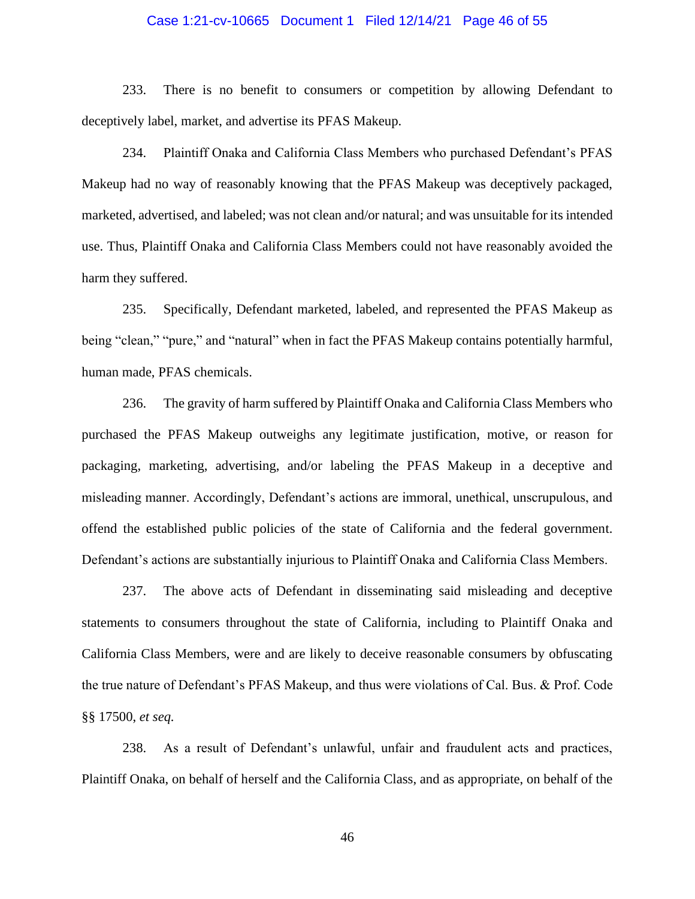#### Case 1:21-cv-10665 Document 1 Filed 12/14/21 Page 46 of 55

233. There is no benefit to consumers or competition by allowing Defendant to deceptively label, market, and advertise its PFAS Makeup.

234. Plaintiff Onaka and California Class Members who purchased Defendant's PFAS Makeup had no way of reasonably knowing that the PFAS Makeup was deceptively packaged, marketed, advertised, and labeled; was not clean and/or natural; and was unsuitable for its intended use. Thus, Plaintiff Onaka and California Class Members could not have reasonably avoided the harm they suffered.

235. Specifically, Defendant marketed, labeled, and represented the PFAS Makeup as being "clean," "pure," and "natural" when in fact the PFAS Makeup contains potentially harmful, human made, PFAS chemicals.

236. The gravity of harm suffered by Plaintiff Onaka and California Class Members who purchased the PFAS Makeup outweighs any legitimate justification, motive, or reason for packaging, marketing, advertising, and/or labeling the PFAS Makeup in a deceptive and misleading manner. Accordingly, Defendant's actions are immoral, unethical, unscrupulous, and offend the established public policies of the state of California and the federal government. Defendant's actions are substantially injurious to Plaintiff Onaka and California Class Members.

237. The above acts of Defendant in disseminating said misleading and deceptive statements to consumers throughout the state of California, including to Plaintiff Onaka and California Class Members, were and are likely to deceive reasonable consumers by obfuscating the true nature of Defendant's PFAS Makeup, and thus were violations of Cal. Bus. & Prof. Code §§ 17500, *et seq.*

238. As a result of Defendant's unlawful, unfair and fraudulent acts and practices, Plaintiff Onaka, on behalf of herself and the California Class, and as appropriate, on behalf of the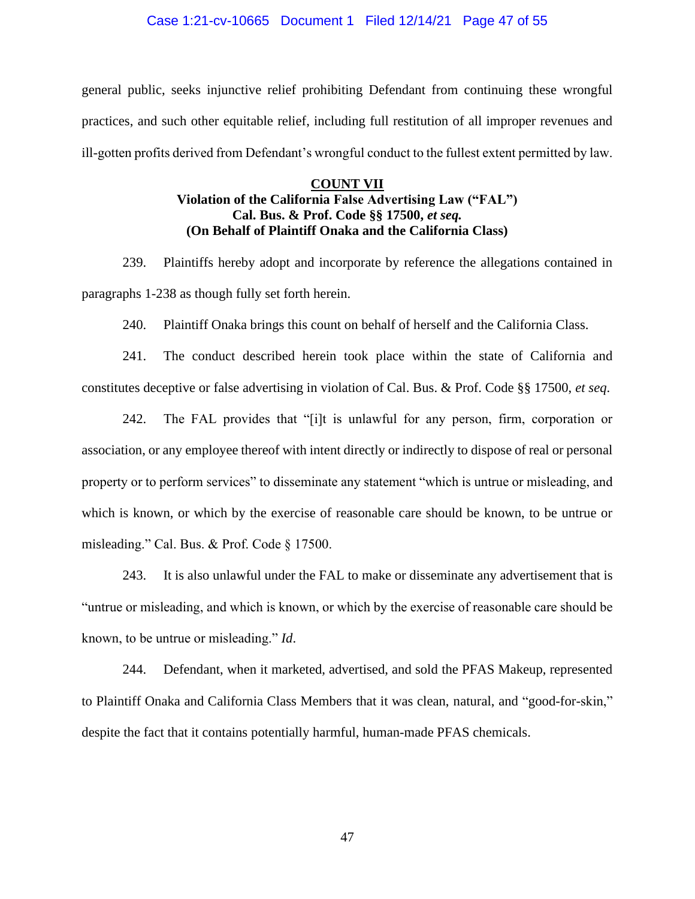#### Case 1:21-cv-10665 Document 1 Filed 12/14/21 Page 47 of 55

general public, seeks injunctive relief prohibiting Defendant from continuing these wrongful practices, and such other equitable relief, including full restitution of all improper revenues and ill-gotten profits derived from Defendant's wrongful conduct to the fullest extent permitted by law.

## **COUNT VII Violation of the California False Advertising Law ("FAL") Cal. Bus. & Prof. Code §§ 17500,** *et seq.* **(On Behalf of Plaintiff Onaka and the California Class)**

239. Plaintiffs hereby adopt and incorporate by reference the allegations contained in paragraphs 1-238 as though fully set forth herein.

240. Plaintiff Onaka brings this count on behalf of herself and the California Class.

241. The conduct described herein took place within the state of California and constitutes deceptive or false advertising in violation of Cal. Bus. & Prof. Code §§ 17500, *et seq*.

242. The FAL provides that "[i]t is unlawful for any person, firm, corporation or association, or any employee thereof with intent directly or indirectly to dispose of real or personal property or to perform services" to disseminate any statement "which is untrue or misleading, and which is known, or which by the exercise of reasonable care should be known, to be untrue or misleading." Cal. Bus. & Prof. Code § 17500.

243. It is also unlawful under the FAL to make or disseminate any advertisement that is "untrue or misleading, and which is known, or which by the exercise of reasonable care should be known, to be untrue or misleading." *Id*.

244. Defendant, when it marketed, advertised, and sold the PFAS Makeup, represented to Plaintiff Onaka and California Class Members that it was clean, natural, and "good-for-skin," despite the fact that it contains potentially harmful, human-made PFAS chemicals.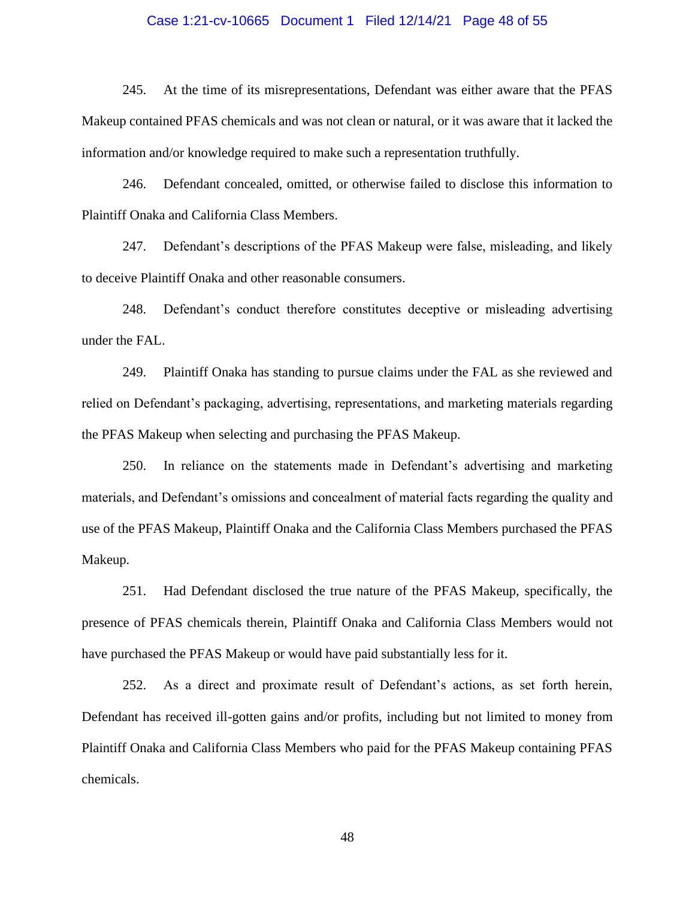#### Case 1:21-cv-10665 Document 1 Filed 12/14/21 Page 48 of 55

245. At the time of its misrepresentations, Defendant was either aware that the PFAS Makeup contained PFAS chemicals and was not clean or natural, or it was aware that it lacked the information and/or knowledge required to make such a representation truthfully.

246. Defendant concealed, omitted, or otherwise failed to disclose this information to Plaintiff Onaka and California Class Members.

247. Defendant's descriptions of the PFAS Makeup were false, misleading, and likely to deceive Plaintiff Onaka and other reasonable consumers.

248. Defendant's conduct therefore constitutes deceptive or misleading advertising under the FAL.

249. Plaintiff Onaka has standing to pursue claims under the FAL as she reviewed and relied on Defendant's packaging, advertising, representations, and marketing materials regarding the PFAS Makeup when selecting and purchasing the PFAS Makeup.

250. In reliance on the statements made in Defendant's advertising and marketing materials, and Defendant's omissions and concealment of material facts regarding the quality and use of the PFAS Makeup, Plaintiff Onaka and the California Class Members purchased the PFAS Makeup.

251. Had Defendant disclosed the true nature of the PFAS Makeup, specifically, the presence of PFAS chemicals therein, Plaintiff Onaka and California Class Members would not have purchased the PFAS Makeup or would have paid substantially less for it.

252. As a direct and proximate result of Defendant's actions, as set forth herein, Defendant has received ill-gotten gains and/or profits, including but not limited to money from Plaintiff Onaka and California Class Members who paid for the PFAS Makeup containing PFAS chemicals.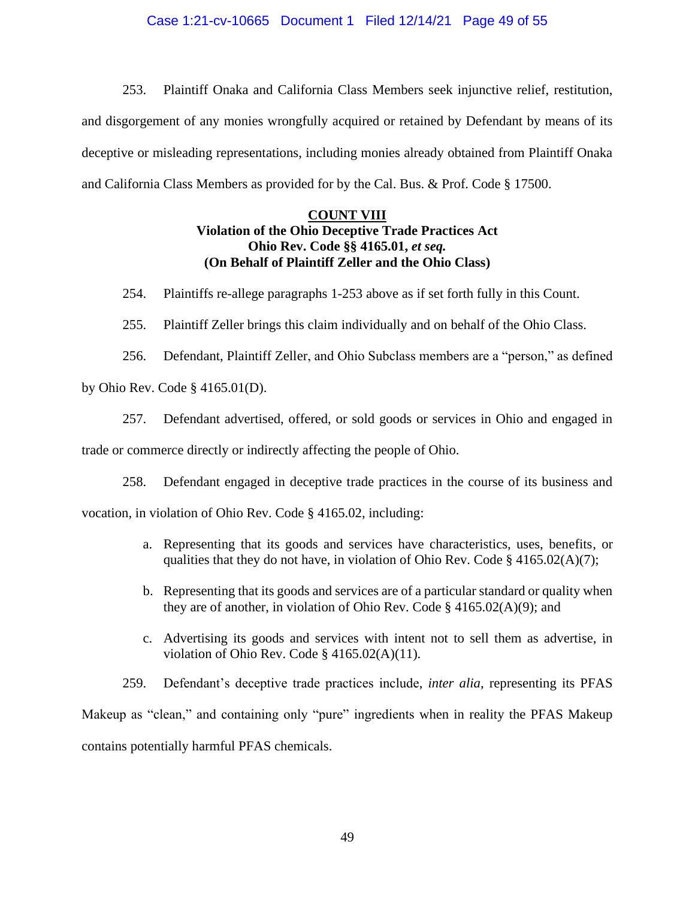### Case 1:21-cv-10665 Document 1 Filed 12/14/21 Page 49 of 55

253. Plaintiff Onaka and California Class Members seek injunctive relief, restitution, and disgorgement of any monies wrongfully acquired or retained by Defendant by means of its deceptive or misleading representations, including monies already obtained from Plaintiff Onaka and California Class Members as provided for by the Cal. Bus. & Prof. Code § 17500.

### **COUNT VIII Violation of the Ohio Deceptive Trade Practices Act Ohio Rev. Code §§ 4165.01,** *et seq.* **(On Behalf of Plaintiff Zeller and the Ohio Class)**

254. Plaintiffs re-allege paragraphs 1-253 above as if set forth fully in this Count.

255. Plaintiff Zeller brings this claim individually and on behalf of the Ohio Class.

256. Defendant, Plaintiff Zeller, and Ohio Subclass members are a "person," as defined by Ohio Rev. Code § 4165.01(D).

257. Defendant advertised, offered, or sold goods or services in Ohio and engaged in

trade or commerce directly or indirectly affecting the people of Ohio.

258. Defendant engaged in deceptive trade practices in the course of its business and

vocation, in violation of Ohio Rev. Code § 4165.02, including:

- a. Representing that its goods and services have characteristics, uses, benefits, or qualities that they do not have, in violation of Ohio Rev. Code  $\S$  4165.02(A)(7);
- b. Representing that its goods and services are of a particular standard or quality when they are of another, in violation of Ohio Rev. Code § 4165.02(A)(9); and
- c. Advertising its goods and services with intent not to sell them as advertise, in violation of Ohio Rev. Code § 4165.02(A)(11).

259. Defendant's deceptive trade practices include, *inter alia*, representing its PFAS Makeup as "clean," and containing only "pure" ingredients when in reality the PFAS Makeup contains potentially harmful PFAS chemicals.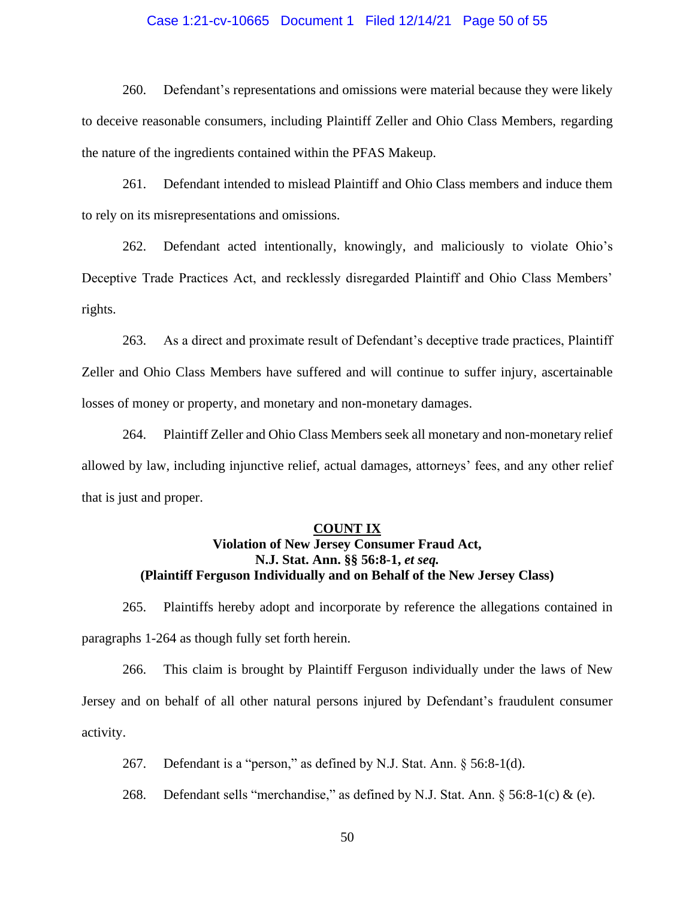#### Case 1:21-cv-10665 Document 1 Filed 12/14/21 Page 50 of 55

260. Defendant's representations and omissions were material because they were likely to deceive reasonable consumers, including Plaintiff Zeller and Ohio Class Members, regarding the nature of the ingredients contained within the PFAS Makeup.

261. Defendant intended to mislead Plaintiff and Ohio Class members and induce them to rely on its misrepresentations and omissions.

262. Defendant acted intentionally, knowingly, and maliciously to violate Ohio's Deceptive Trade Practices Act, and recklessly disregarded Plaintiff and Ohio Class Members' rights.

263. As a direct and proximate result of Defendant's deceptive trade practices, Plaintiff Zeller and Ohio Class Members have suffered and will continue to suffer injury, ascertainable losses of money or property, and monetary and non-monetary damages.

264. Plaintiff Zeller and Ohio Class Members seek all monetary and non-monetary relief allowed by law, including injunctive relief, actual damages, attorneys' fees, and any other relief that is just and proper.

#### **COUNT IX**

### **Violation of New Jersey Consumer Fraud Act, N.J. Stat. Ann. §§ 56:8-1,** *et seq.* **(Plaintiff Ferguson Individually and on Behalf of the New Jersey Class)**

265. Plaintiffs hereby adopt and incorporate by reference the allegations contained in paragraphs 1-264 as though fully set forth herein.

266. This claim is brought by Plaintiff Ferguson individually under the laws of New Jersey and on behalf of all other natural persons injured by Defendant's fraudulent consumer activity.

267. Defendant is a "person," as defined by N.J. Stat. Ann. § 56:8-1(d).

268. Defendant sells "merchandise," as defined by N.J. Stat. Ann.  $\S$  56:8-1(c) & (e).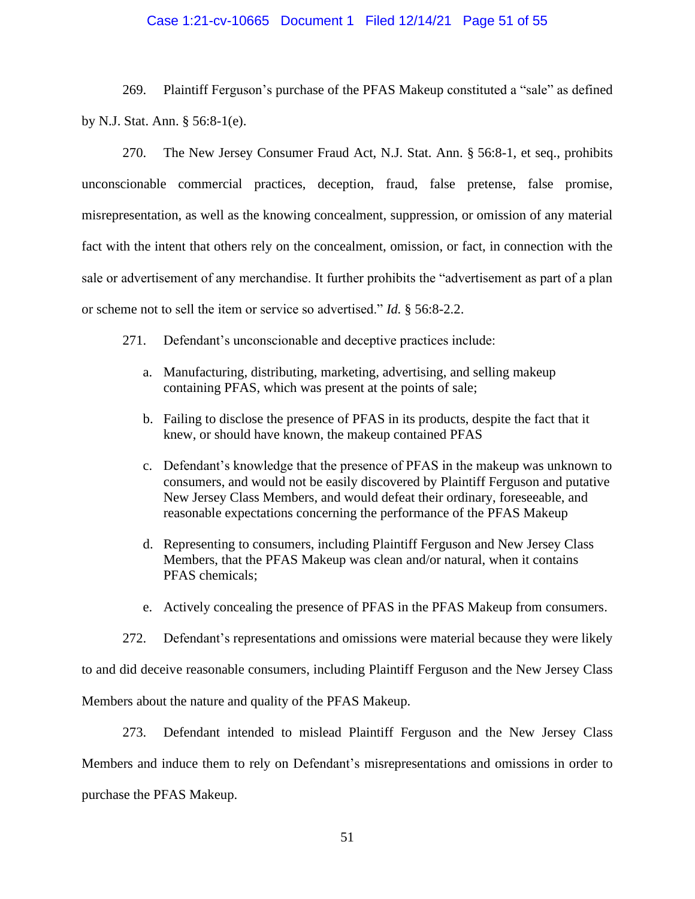### Case 1:21-cv-10665 Document 1 Filed 12/14/21 Page 51 of 55

269. Plaintiff Ferguson's purchase of the PFAS Makeup constituted a "sale" as defined by N.J. Stat. Ann. § 56:8-1(e).

270. The New Jersey Consumer Fraud Act, N.J. Stat. Ann. § 56:8-1, et seq., prohibits unconscionable commercial practices, deception, fraud, false pretense, false promise, misrepresentation, as well as the knowing concealment, suppression, or omission of any material fact with the intent that others rely on the concealment, omission, or fact, in connection with the sale or advertisement of any merchandise. It further prohibits the "advertisement as part of a plan or scheme not to sell the item or service so advertised." *Id.* § 56:8-2.2.

- 271. Defendant's unconscionable and deceptive practices include:
	- a. Manufacturing, distributing, marketing, advertising, and selling makeup containing PFAS, which was present at the points of sale;
	- b. Failing to disclose the presence of PFAS in its products, despite the fact that it knew, or should have known, the makeup contained PFAS
	- c. Defendant's knowledge that the presence of PFAS in the makeup was unknown to consumers, and would not be easily discovered by Plaintiff Ferguson and putative New Jersey Class Members, and would defeat their ordinary, foreseeable, and reasonable expectations concerning the performance of the PFAS Makeup
	- d. Representing to consumers, including Plaintiff Ferguson and New Jersey Class Members, that the PFAS Makeup was clean and/or natural, when it contains PFAS chemicals;
	- e. Actively concealing the presence of PFAS in the PFAS Makeup from consumers.

272. Defendant's representations and omissions were material because they were likely

to and did deceive reasonable consumers, including Plaintiff Ferguson and the New Jersey Class

Members about the nature and quality of the PFAS Makeup.

273. Defendant intended to mislead Plaintiff Ferguson and the New Jersey Class Members and induce them to rely on Defendant's misrepresentations and omissions in order to purchase the PFAS Makeup.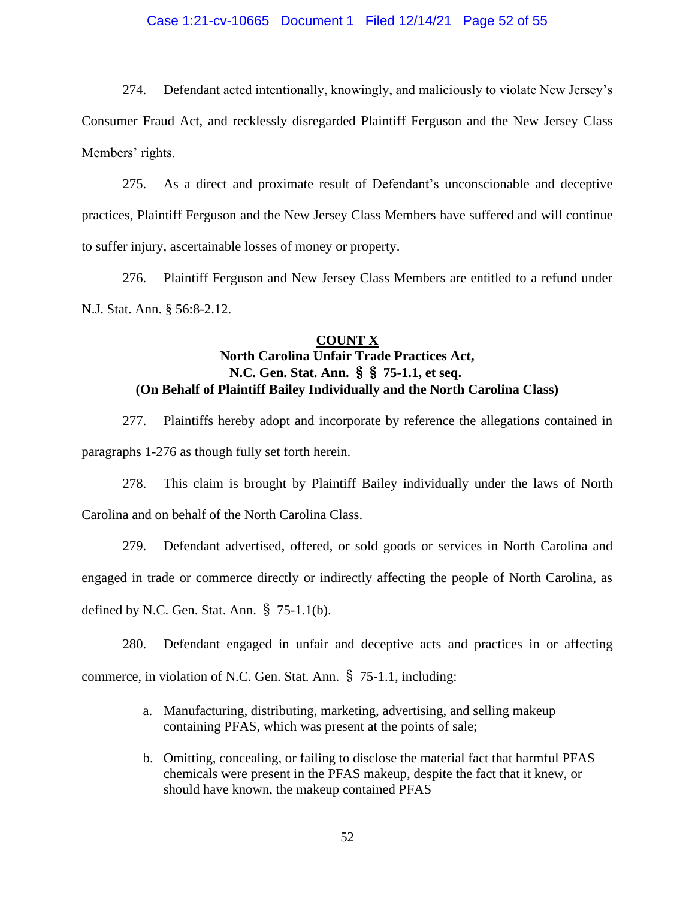### Case 1:21-cv-10665 Document 1 Filed 12/14/21 Page 52 of 55

274. Defendant acted intentionally, knowingly, and maliciously to violate New Jersey's Consumer Fraud Act, and recklessly disregarded Plaintiff Ferguson and the New Jersey Class Members' rights.

275. As a direct and proximate result of Defendant's unconscionable and deceptive practices, Plaintiff Ferguson and the New Jersey Class Members have suffered and will continue to suffer injury, ascertainable losses of money or property.

276. Plaintiff Ferguson and New Jersey Class Members are entitled to a refund under N.J. Stat. Ann. § 56:8-2.12.

## **COUNT X North Carolina Unfair Trade Practices Act, N.C. Gen. Stat. Ann.** §§ **75-1.1, et seq. (On Behalf of Plaintiff Bailey Individually and the North Carolina Class)**

277. Plaintiffs hereby adopt and incorporate by reference the allegations contained in paragraphs 1-276 as though fully set forth herein.

278. This claim is brought by Plaintiff Bailey individually under the laws of North Carolina and on behalf of the North Carolina Class.

279. Defendant advertised, offered, or sold goods or services in North Carolina and engaged in trade or commerce directly or indirectly affecting the people of North Carolina, as defined by N.C. Gen. Stat. Ann. § 75-1.1(b).

280. Defendant engaged in unfair and deceptive acts and practices in or affecting

commerce, in violation of N.C. Gen. Stat. Ann. § 75-1.1, including:

- a. Manufacturing, distributing, marketing, advertising, and selling makeup containing PFAS, which was present at the points of sale;
- b. Omitting, concealing, or failing to disclose the material fact that harmful PFAS chemicals were present in the PFAS makeup, despite the fact that it knew, or should have known, the makeup contained PFAS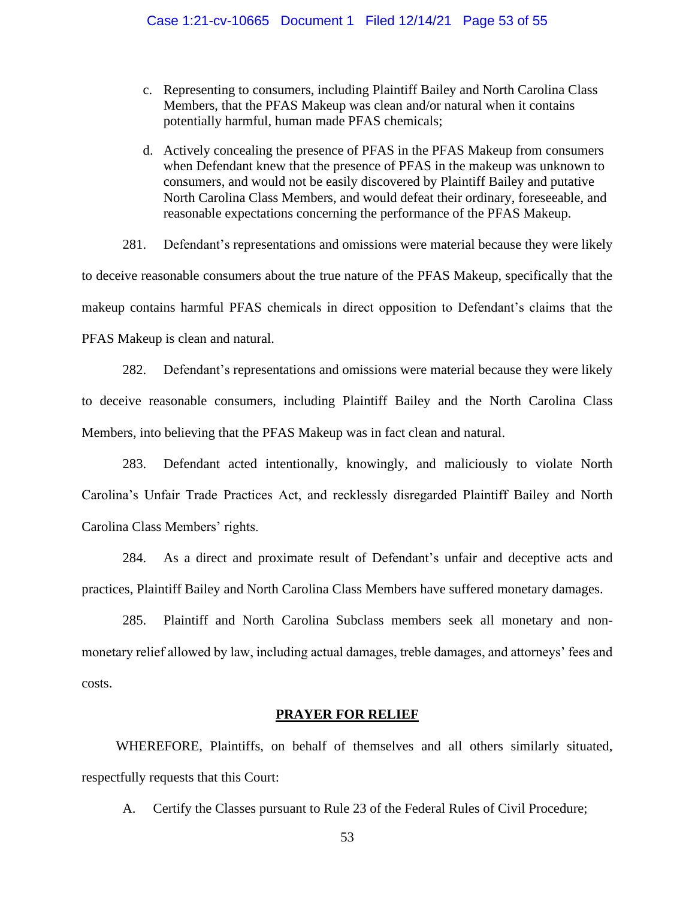- c. Representing to consumers, including Plaintiff Bailey and North Carolina Class Members, that the PFAS Makeup was clean and/or natural when it contains potentially harmful, human made PFAS chemicals;
- d. Actively concealing the presence of PFAS in the PFAS Makeup from consumers when Defendant knew that the presence of PFAS in the makeup was unknown to consumers, and would not be easily discovered by Plaintiff Bailey and putative North Carolina Class Members, and would defeat their ordinary, foreseeable, and reasonable expectations concerning the performance of the PFAS Makeup.

281. Defendant's representations and omissions were material because they were likely to deceive reasonable consumers about the true nature of the PFAS Makeup, specifically that the makeup contains harmful PFAS chemicals in direct opposition to Defendant's claims that the PFAS Makeup is clean and natural.

282. Defendant's representations and omissions were material because they were likely to deceive reasonable consumers, including Plaintiff Bailey and the North Carolina Class Members, into believing that the PFAS Makeup was in fact clean and natural.

283. Defendant acted intentionally, knowingly, and maliciously to violate North Carolina's Unfair Trade Practices Act, and recklessly disregarded Plaintiff Bailey and North Carolina Class Members' rights.

284. As a direct and proximate result of Defendant's unfair and deceptive acts and practices, Plaintiff Bailey and North Carolina Class Members have suffered monetary damages.

285. Plaintiff and North Carolina Subclass members seek all monetary and nonmonetary relief allowed by law, including actual damages, treble damages, and attorneys' fees and costs.

### **PRAYER FOR RELIEF**

WHEREFORE, Plaintiffs, on behalf of themselves and all others similarly situated, respectfully requests that this Court:

A. Certify the Classes pursuant to Rule 23 of the Federal Rules of Civil Procedure;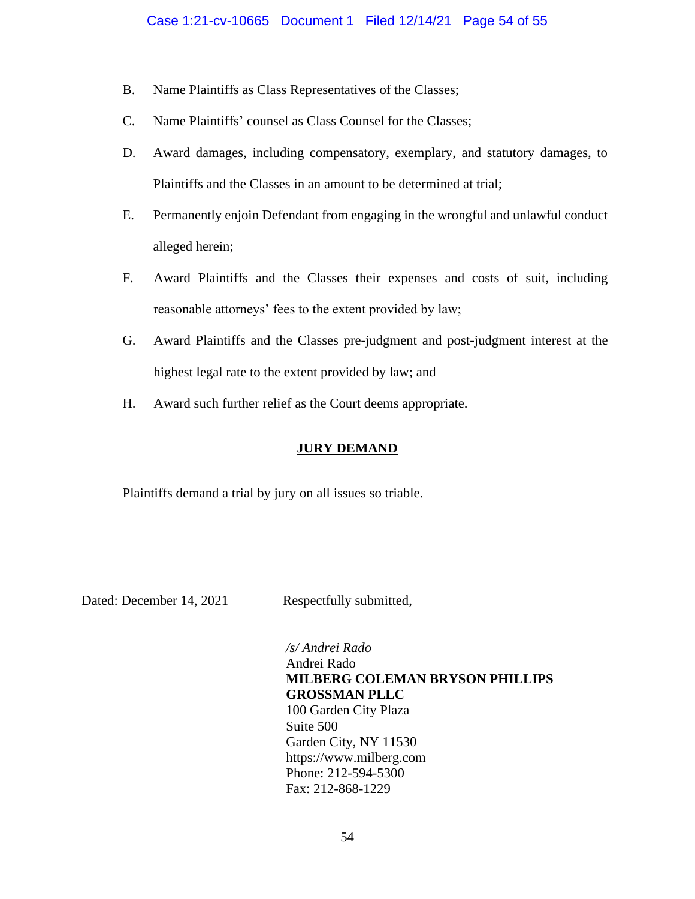- B. Name Plaintiffs as Class Representatives of the Classes;
- C. Name Plaintiffs' counsel as Class Counsel for the Classes;
- D. Award damages, including compensatory, exemplary, and statutory damages, to Plaintiffs and the Classes in an amount to be determined at trial;
- E. Permanently enjoin Defendant from engaging in the wrongful and unlawful conduct alleged herein;
- F. Award Plaintiffs and the Classes their expenses and costs of suit, including reasonable attorneys' fees to the extent provided by law;
- G. Award Plaintiffs and the Classes pre-judgment and post-judgment interest at the highest legal rate to the extent provided by law; and
- H. Award such further relief as the Court deems appropriate.

## **JURY DEMAND**

Plaintiffs demand a trial by jury on all issues so triable.

Dated: December 14, 2021 Respectfully submitted,

## */s/ Andrei Rado*

## Andrei Rado **MILBERG COLEMAN BRYSON PHILLIPS GROSSMAN PLLC**

100 Garden City Plaza Suite 500 Garden City, NY 11530 https://www.milberg.com Phone: 212-594-5300 Fax: 212-868-1229